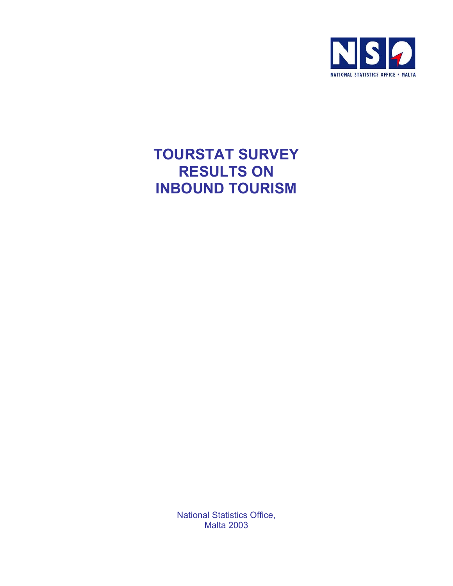

## **TOURSTAT SURVEY RESULTS ON INBOUND TOURISM**

National Statistics Office, Malta 2003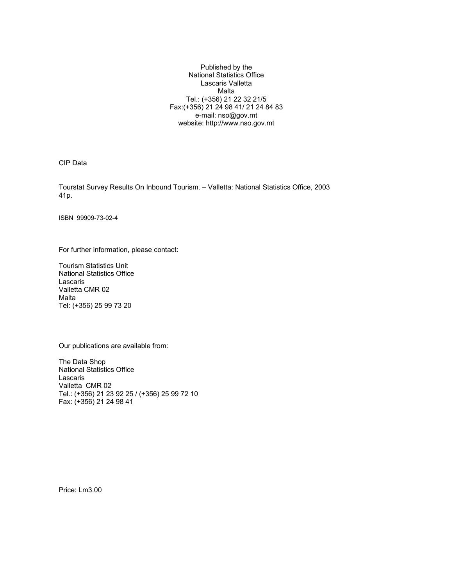Published by the National Statistics Office Lascaris Valletta Malta Tel.: (+356) 21 22 32 21/5 Fax:(+356) 21 24 98 41/ 21 24 84 83 e-mail: nso@gov.mt website: http://www.nso.gov.mt

CIP Data

Tourstat Survey Results On Inbound Tourism. – Valletta: National Statistics Office, 2003 41p.

ISBN 99909-73-02-4

For further information, please contact:

Tourism Statistics Unit National Statistics Office Lascaris Valletta CMR 02 Malta Tel: (+356) 25 99 73 20

Our publications are available from:

The Data Shop National Statistics Office Lascaris Valletta CMR 02 Tel.: (+356) 21 23 92 25 / (+356) 25 99 72 10 Fax: (+356) 21 24 98 41

Price: Lm3.00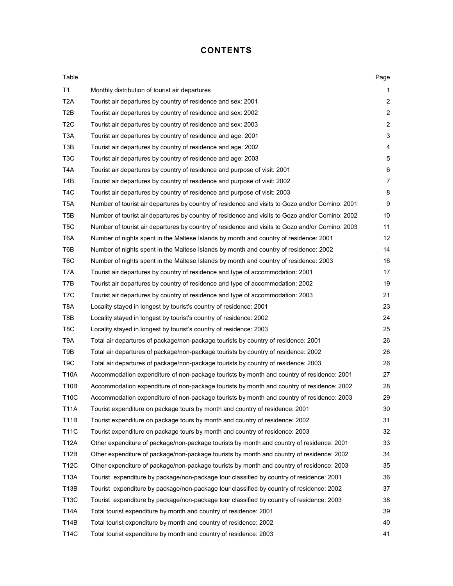## **CONTENTS**

| Table            |                                                                                                 | Page           |
|------------------|-------------------------------------------------------------------------------------------------|----------------|
| T1               | Monthly distribution of tourist air departures                                                  | 1              |
| T <sub>2</sub> A | Tourist air departures by country of residence and sex: 2001                                    | $\overline{2}$ |
| T <sub>2</sub> B | Tourist air departures by country of residence and sex: 2002                                    | $\overline{2}$ |
| T <sub>2</sub> C | Tourist air departures by country of residence and sex: 2003                                    | $\overline{c}$ |
| T <sub>3</sub> A | Tourist air departures by country of residence and age: 2001                                    | 3              |
| T <sub>3</sub> B | Tourist air departures by country of residence and age: 2002                                    | 4              |
| T <sub>3</sub> C | Tourist air departures by country of residence and age: 2003                                    | 5              |
| T <sub>4</sub> A | Tourist air departures by country of residence and purpose of visit: 2001                       | 6              |
| T <sub>4</sub> B | Tourist air departures by country of residence and purpose of visit: 2002                       | 7              |
| T <sub>4</sub> C | Tourist air departures by country of residence and purpose of visit: 2003                       | 8              |
| T <sub>5</sub> A | Number of tourist air departures by country of residence and visits to Gozo and/or Comino: 2001 | 9              |
| T <sub>5</sub> B | Number of tourist air departures by country of residence and visits to Gozo and/or Comino: 2002 | 10             |
| T <sub>5</sub> C | Number of tourist air departures by country of residence and visits to Gozo and/or Comino: 2003 | 11             |
| T <sub>6</sub> A | Number of nights spent in the Maltese Islands by month and country of residence: 2001           | 12             |
| T6B              | Number of nights spent in the Maltese Islands by month and country of residence: 2002           | 14             |
| T <sub>6</sub> C | Number of nights spent in the Maltese Islands by month and country of residence: 2003           | 16             |
| T7A              | Tourist air departures by country of residence and type of accommodation: 2001                  | 17             |
| T7B              | Tourist air departures by country of residence and type of accommodation: 2002                  | 19             |
| T <sub>7</sub> C | Tourist air departures by country of residence and type of accommodation: 2003                  | 21             |
| T <sub>8</sub> A | Locality stayed in longest by tourist's country of residence: 2001                              | 23             |
| T8B              | Locality stayed in longest by tourist's country of residence: 2002                              | 24             |
| T <sub>8</sub> C | Locality stayed in longest by tourist's country of residence: 2003                              | 25             |
| T <sub>9</sub> A | Total air departures of package/non-package tourists by country of residence: 2001              | 26             |
| T9B              | Total air departures of package/non-package tourists by country of residence: 2002              | 26             |
| T <sub>9</sub> C | Total air departures of package/non-package tourists by country of residence: 2003              | 26             |
| <b>T10A</b>      | Accommodation expenditure of non-package tourists by month and country of residence: 2001       | 27             |
| T10B             | Accommodation expenditure of non-package tourists by month and country of residence: 2002       | 28             |
| <b>T10C</b>      | Accommodation expenditure of non-package tourists by month and country of residence: 2003       | 29             |
| <b>T11A</b>      | Tourist expenditure on package tours by month and country of residence: 2001                    | 30             |
| <b>T11B</b>      | Tourist expenditure on package tours by month and country of residence: 2002                    | 31             |
| <b>T11C</b>      | Tourist expenditure on package tours by month and country of residence: 2003                    | 32             |
| <b>T12A</b>      | Other expenditure of package/non-package tourists by month and country of residence: 2001       | 33             |
| T12B             | Other expenditure of package/non-package tourists by month and country of residence: 2002       | 34             |
| <b>T12C</b>      | Other expenditure of package/non-package tourists by month and country of residence: 2003       | 35             |
| T13A             | Tourist expenditure by package/non-package tour classified by country of residence: 2001        | 36             |
| T13B             | Tourist expenditure by package/non-package tour classified by country of residence: 2002        | 37             |
| T13C             | Tourist expenditure by package/non-package tour classified by country of residence: 2003        | 38             |
| <b>T14A</b>      | Total tourist expenditure by month and country of residence: 2001                               | 39             |
| <b>T14B</b>      | Total tourist expenditure by month and country of residence: 2002                               | 40             |
| <b>T14C</b>      | Total tourist expenditure by month and country of residence: 2003                               | 41             |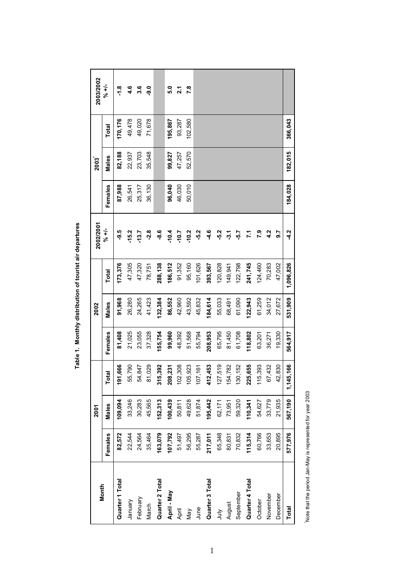| Month           |         | 2001    |             |         | 2002    |           | 2002/2001     |         | 2003    |         | 2003/2002       |
|-----------------|---------|---------|-------------|---------|---------|-----------|---------------|---------|---------|---------|-----------------|
|                 | Females | Males   | Total       | Females | Males   | Total     | シャナ           | Females | Males   | Total   | シャイ             |
| Quarter 1 Total | 82,572  | 109,094 | 191,666     | 81,408  | 91,968  | 173,376   | -9.5          | 87,988  | 82,188  | 170,176 | $\frac{8}{1}$   |
| January         | 22,544  | 33,246  | 55,790      | 21,025  | 26,280  | 47,305    | $-15.2$       | 26,541  | 22,937  | 49,478  | 4.6             |
| February        | 24,564  | 30,283  | 54,847      | 23,055  | 24,265  | 47,320    | $-13.7$       | 25,317  | 23,703  | 49,020  | 3.6             |
| March           | 35,464  | 45,565  | 81,029      | 37,328  | 41,423  | 78,751    | $-2.8$        | 36,130  | 35,548  | 71,678  | <b>.</b><br>9.0 |
| Quarter 2 Total | 163,079 | 152,313 | 15,392<br>ო | 155,754 | 132,384 | 288,138   | <u>နှ</u>     |         |         |         |                 |
| April - May     | 107,792 | 100,439 | 08,231      | 99,960  | 86,552  | 186,512   | $-10.4$       | 96,040  | 99,827  | 195,867 | 5.0             |
| April           | 51,497  | 50,811  | 02,308      | 48,392  | 42,960  | 91,352    | $-10.7$       | 46,030  | 47,257  | 93,287  | 2.1             |
| Nay             | 56,295  | 49,628  | 05,923      | 51,568  | 43,592  | 95,160    | $-10.2$       | 50,010  | 52,570  | 102,580 | 7.8             |
| June            | 55,287  | 51,874  | 07,161      | 55,794  | 45,832  | 101,626   | $-5.2$        |         |         |         |                 |
| Quarter 3 Total | 217,011 | 195,442 | 12,453<br>4 | 208,953 | 184,614 | 393,567   | 4.6           |         |         |         |                 |
| ylnr            | 65,348  | 62,171  | 127,519     | 65,795  | 55,033  | 120,828   | -5.2          |         |         |         |                 |
| August          | 80,831  | 73,951  | 154,782     | 81,450  | 68,491  | 149,941   | $-3.1$        |         |         |         |                 |
| September       | 70,832  | 59,320  | 130, 152    | 61,708  | 61,090  | 122,798   | -5.7          |         |         |         |                 |
| Quarter 4 Total | 115,314 | 110,341 | 225,655     | 118,802 | 122,943 | 241,745   | 7.1           |         |         |         |                 |
| October         | 60,766  | 54,627  | 15,393      | 63,201  | 61,259  | 124,460   | 7.9           |         |         |         |                 |
| November        | 33,653  | 33,779  | 67,432      | 36,271  | 34,012  | 70,283    | 4.2           |         |         |         |                 |
| December        | 20,895  | 21,935  | 42,830      | 19,330  | 27,672  | 47,002    | 9.7           |         |         |         |                 |
| Total           | 577,976 | 567,190 | 1,145,166   | 564,917 | 531,909 | 1,096,826 | $\frac{2}{3}$ | 184,028 | 182,015 | 366,043 |                 |

Table 1. Monthly distribution of tourist air departures **Table 1. Monthly distribution of tourist air departures**

Note that the period Jan-May is represented for year 2003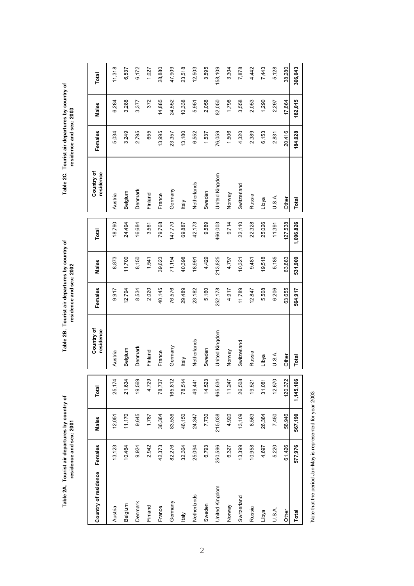Table 2C. Tourist air departures by country of residence and sex: 2003

**Table 2B. Tourist air departures by country of Table 2C. Tourist air departures by country of residence and sex: 2001 residence and sex: 2003 residence and sex: 2002**Table 2B. Tourist air departures by country of residence and sex: 2002

**Table 2A. Tourist air departures by country of** 

residence and sex: 2001

Table 2A. Tourist air departures by country of

11,318 Austria 13,123 | 13,123 | 12,517 | 12,517 | 13,73 | 18,73 | 18,73 | 18,790 | | Austria | 13,18 | 13,18 | 13,18 Belgium 10,494 10,494 11,1940 10,494 10,254 12,170 12,170 12,170 12,170 12,170 12,170 12,170 12,170 12,170 12, 6,172 Denmark 9,924 9,924 9,945 | Denmark 8,534 8,534 | 26,684 | Denmark 8,534 | 25,684 | Denmark 2,795 | 2,377 | 2,377 Find 2,972 1,787 1,787 1,787 1,787 1,787 1,787 1,787 1,787 1,787 1,787 1,787 1,787 1,787 1,8961 372 1,889 1,89 France 14,385 14,385 14,384 France 15,030,030,030 79,145 145 145 145 145 145 14,394 14,384 14,385 14,385 14,885 14,885 14,885 14,885 14,885 14,885 14,885 14,885 14,885 14,885 14,885 14,885 14,885 14,885 14,885 14,885 14,88 Germany 197,452 | 26,27.276 | 26,376 | 26,576 | 25,576 | 25,576 | 27,77,777 | 27,8535 | 27,852 | 27,552 | 27,552 | 23,518 Italy 32,364 | 46,150 | 29,504 | 29,500 | 29,480 | 29,480 | 29,500 | 29,500 | 29,500 | 29,500 | 29,500 | 29,50 Netherlands 24,347 24,441 Netherlands 18,991 23,182 18,991 18,991 18,991 42,173 Netherlands 24,347 24,552 5,951 12,503 3,595 Sweden 6,793 7,730 14,523 3,589 Sweden 5,4429 9,589 9,589 1,523 1,523 1,523 1,523 9,589 9,595 1,537 2,058 1,595 United Kingdom 250,596 | 2215,038 | 234,038 | 234,038 | 234,038 | 234,038 | 234,178 | 2534,178 | 2534,178 | 25<br>United Kingdom | 250,505 | 250,505 | 250,178 | 252,178 | 252,178 | 2534,178 | United Kingdom | 254,109 | 256,1 Norway 6,327 4,920 11,247 Norway 4,917 4,797 9,714 Norway 1,506 1,798 3,304 7,878 Switzerland 4,320 | 3,558 | 3,558 | 3,789 | 3,789 | 20,559 | 20,590 | 20,590 | 20,590 | 20,508 | 20,558 | 20,558 | 20,558 | 20,558 | 20,558 | 20,558 | 20,558 | 20,558 | 20,558 | 20,558 | 20,558 | 20,558 | 20,558 | 20,558 | 4,442 Russia 10,958 8,563 8,563 | Russia 12,847 12,847 | 24,847 22,328 | Russia 2.389 | 2.053 | 2.053 | 2.053 | 4.442 7,443 Libya 4,697 26,384 26,384 26,384 ILibya 1,290,026 19,508 19,508 6,508 19,508 19,508 19,508 1,490 1,490 7,443 1 5,128 U.S.A. 5,220 7,450 12,670 12,670 12,670 12,670 12,670 12,670 12,681 12,681 12,681 2,831 5,128 Other 6 120,426 120,426 120,426 120,426 120,536;53 120,536;53 120,536;53 127,538 127,538 127,5365 127,5364 38,280 366,043  **Total 577,976 567,190 1,145,166 Total 564,917 531,909 1,096,826 Total 184,028 182,015 366,043**  6,537 1,027 28,880 47,909 12,503 58,109 3,304 38,280 Total Country of residence Females Males Total Total Females Males Total Total (Country of Females Males Total<br>Country of residence Females Males Total residence Females Males Total residence Females Males Total 10,338 2,058 3,558 3,288 3,377 372 14,885 24,552 5,951 82,050 1,798 2,053 1,290 2,297 17,864 182,015 6,284 Males 13,995 6,153 20,416 184,028 Females 5,034 3,249 2,795 13,180 6,552 1,537 76,059 1,506 4,320 2,389 2,831 655 23,357 Country of<br>residence **Jnited Kingdom** Vetherlands Switzerland Germany Denmark Belgium Sweden Norway Finland Austria France Russia U.S.A. Libya Other Total **Vie** 42,173 9,589 18,790 24,494 16,684 3,561 79,768 69,887 466,003 9,714 22,110 22,328 25,026 11,391 1,096,826 147,770 127,538 Total 40,398 5,185 531,909 8,873 11,700 8,150 39,623 71,194 4,429 213,825 63,883 1,541 4,797 19,518 18,991 10,321 9,481 Males 9,917 12,794 8,534 40,145 76,576 5,160 5,508 6,206 Females 2,020 29,489 23,182 4,917 11,789 12,847 63,655 564,917 252,178 Country of<br>residence United Kingdom Switzerland Netherlands Germany Denmark Sweden Belgium Norway Austria Finland France Russia U.S.A. Libya Other Total taly 14,523 21,634 19,569 4,729 78,737 165,812 78,514 49,441  $11,247$ 26,508 19,521 12,670 120,372 1,145,166 25,174 465,634 31,081 **Total** 9,645 58,946 11,170 36,364 83,536 46,150 24,347 7,730 4,920 13,109 8,563 26,384 7,450 567,190 12,051 1,787 215,038 Males 13,123 10,464 9,924 2,942 42,373 82,276 6,793 13,399 10,958 5,220 61,426 577,976 Females 32,364 25,094 250,596 6,327 4,697 Country of residence **Jnited Kingdom** Netherlands Switzerland Denmark Germany Norway Sweden Belgium Finland Russia France Austria U.S.A. Libya Other Total llaly

Note that the period Jan-May is represented for year 2003 Note that the period Jan-May is represented for year 2003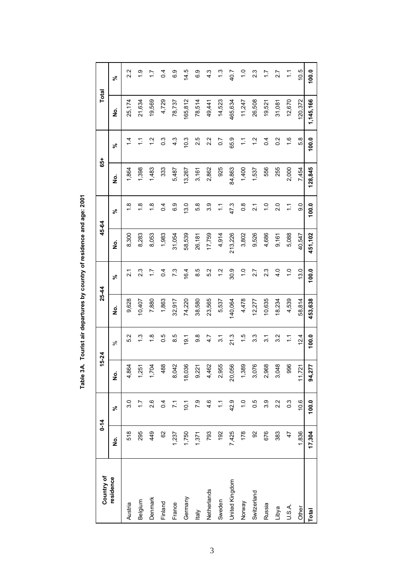| Country of     | $0 - 14$ |                       | 15-24                            |                   | $25-44$ |                  | 45-64   |                  | 55      |                       | Total     |                 |
|----------------|----------|-----------------------|----------------------------------|-------------------|---------|------------------|---------|------------------|---------|-----------------------|-----------|-----------------|
| residence      | ġ        | వ్                    | ş                                | $\infty$          | ş       | వ్               | ş       | ৡ                | ş       | న్                    | ş         | వ               |
| Austria        | 518      | 3.0                   | 864                              | 5.2               | 9,628   | $\overline{2}$ . | 8,300   | $\frac{8}{1}$    | 1,864   | $\dot{4}$             | 25,174    | 2.2             |
| Belgium        | 295      | $\ddot{ }$            | 251                              | $\frac{3}{1}$     | 10,407  | 2.3              | 8,283   | $\frac{8}{1}$    | 1,398   | $\tilde{\mathcal{L}}$ | 21,634    | $\frac{6}{1}$   |
| Denmark        | 449      | 2.6                   | .704                             | $\frac{8}{1}$     | 7,880   | $\ddot{ }$ :     | 8,053   | $\frac{8}{1}$    | 1,483   | $\frac{2}{1}$         | 19,569    | $\ddot{ }$ :    |
| Finland        | 8        | 0.4                   | 488                              | 0.5               | 1,863   | 0.4              | 1,983   | 0.4              | 333     | $0.\overline{3}$      | 4,729     | $\overline{a}$  |
| France         | 1,237    | $\overline{71}$       | <b>CR</b><br>$\infty$            | 8.5               | 32,917  | 7.3              | 31,054  | 6.9              | 5,487   | 4.3                   | 78,737    | 6.9             |
| Germany        | 1,750    | 10.1                  | 036<br>$\frac{8}{1}$             | $\overline{9}$ .1 | 74,220  | 16.4             | 58,539  | 13.0             | 13,267  | 10.3                  | 165,812   | 14.5            |
| ltaly          | 1,371    | 7.9                   | 221<br>တ                         | 9.8               | 38,580  | 8.5              | 26,181  | 5.8              | 3,161   | 2.5                   | 78,514    | 6.9             |
| Netherlands    | 793      | 4.6                   | 462<br>4                         | 4.7               | 23,565  | 5.2              | 17,759  | 3.9              | 2,862   | 2.2                   | 49,441    | 4.3             |
| Sweden         | 192      | $\tilde{\mathcal{L}}$ | 955<br>$\mathbf{\Omega}$         | 3.1               | 5,537   | 1.2              | 4,914   | $\frac{1}{2}$    | 925     | $\overline{0.7}$      | 14,523    | $\ddot{.}$      |
| United Kingdom | 7,425    | 42.9                  | 056<br>$\overline{c}$            | 21.3              | 140,064 | 30.9             | 213,226 | 47.3             | 84,863  | 65.9                  | 465,634   | 40.7            |
| Norway         | 178      | $\frac{0}{1}$         | ,389<br>$\overline{\phantom{0}}$ | 1.5               | 4,478   | $\frac{0}{1}$    | 3,802   | $\frac{8}{2}$    | 1,400   | $\tilde{\mathcal{L}}$ | 11,247    | $\frac{0}{1}$   |
| Switzerland    | 92       | 0.5                   | 076<br>ო                         | 3.3               | 12,277  | 2.7              | 9,526   | $\overline{2}$ . | 1,537   | $\frac{2}{1}$         | 26,508    | 2.3             |
| Russia         | 676      | 3.9                   | .968<br>$\mathbf{\Omega}$        | $\overline{3}$ .  | 10,635  | 2.3              | 4,686   | $\frac{0}{1}$    | 556     | 0.4                   | 19,521    | $\overline{11}$ |
| Libya          | 383      | 2.2                   | 048                              | 3.2               | 18,234  | 4.0              | 9,161   | 2.0              | 255     | 0.2                   | 31,081    | 2.7             |
| U.S.A.         | 47       | $0.\overline{3}$      | 996                              | $\tilde{\div}$    | 4,539   | $\frac{0}{1}$    | 5,088   | $\tilde{L}$      | 2,000   | $\frac{6}{1}$         | 12,670    | $\tilde{L}$     |
| Other          | 1,836    | 10.6                  | ,721<br>$\tilde{\mathcal{L}}$    | 12.4              | 58,814  | 13.0             | 40,547  | 0.6              | 7,454   | 5.8                   | 120,372   | 10.5            |
| <b>Total</b>   | 17,304   | 100.0                 | 277<br>3                         | 100.0             | 453,638 | 100.0            | 451,102 | 100.0            | 128,845 | 100.0                 | 1,145,166 | 100.0           |

Table 3A. Tourist air departures by country of residence and age: 2001 **Table 3A. Tourist air departures by country of residence and age: 2001**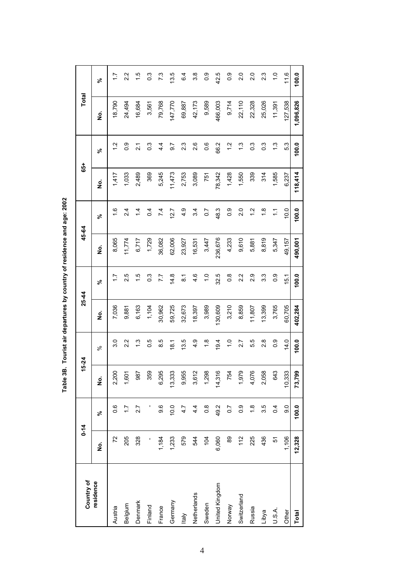| Country of     |        | $0 - 14$         | 15-24  |                  | 25-44   |                    | 45-64   |                  | $65+$   |                   | Total     |                  |
|----------------|--------|------------------|--------|------------------|---------|--------------------|---------|------------------|---------|-------------------|-----------|------------------|
| residence      | ġ      | వ్               | غ<br>ع | ಸಿ               | غ<br>ع  | వ్                 | غ<br>ع  | న్               | ş       | వ్                | غ<br>ع    | వ్               |
| Austria        | 72     | 0.6              | 2,200  | 3.0              | 7,036   | $\ddot{ }$ :       | 8,065   | 1.6              | 1,417   | $\frac{2}{1}$     | 18,790    | $\overline{1}$ . |
| Belgium        | 205    | $\ddot{ }$ :     | 1,601  | 2.2              | 9,881   | 2.5                | 11,774  | $\frac{4}{2}$    | 1,033   | $\overline{0}$ .  | 24,494    | 2.2              |
| Denmark        | 328    | 2.7              | 987    | $\frac{3}{1}$    | 6,163   | $\frac{5}{1}$      | 6,717   | 1.4              | 2,489   | $\overline{21}$   | 16,684    | $\frac{5}{1}$    |
| Finland        |        |                  | 359    | 0.5              | 1,104   | $\frac{3}{2}$      | 1,729   | 0.4              | 369     | $0.\overline{3}$  | 3,561     | $\frac{3}{2}$    |
| France         | 1,184  | 9.6              | 6,295  | 8.5              | 30,962  | 7.7                | 36,082  | 7.4              | 5,245   | $4\overline{4}$   | 79,768    | 7.3              |
| Germany        | 1,233  | 10.0             | 13,333 | 18.1             | 59,725  | 14.8               | 62,006  | 12.7             | 11,473  | $\overline{6}$    | 147,770   | 13.5             |
| <b>Italy</b>   | 579    | 4.7              | 9,955  | 13.5             | 32,673  | $\overline{\circ}$ | 23,927  | 4.9              | 2,753   | 23                | 69,887    | 6.4              |
| Netherlands    | 544    | 4.4              | 3,612  | 4.9              | 18,397  | 4.6                | 16,531  | 34               | 3,089   | 2.6               | 42,173    | 3.8              |
| Sweden         | 104    | $0.\overline{8}$ | 1,298  | $\frac{8}{1}$    | 3,989   | $\frac{0}{1}$      | 3,447   | $\overline{0}$   | 751     | 0.6               | 9,589     | 0.0              |
| United Kingdom | 6,060  | 49.2             | 14,316 | 19.4             | 130,609 | 32.5               | 236,676 | 48.3             | 78,342  | 66.2              | 466,003   | 42.5             |
| Norway         | 89     | 0.7              | 754    | $\frac{0}{1}$    | 3,210   | $\frac{8}{1}$      | 4,233   | $\overline{0}$ . | 1,428   | $\frac{2}{1}$     | 9,714     | $\frac{0}{2}$    |
| Switzerland    | 112    | $\frac{0}{2}$    | 1,979  | 2.7              | 8,859   | 2.2                | 9,610   | 2.0              | 1,550   | $\frac{3}{1}$     | 22,110    | 2.0              |
| Russia         | 225    | $\frac{8}{1}$    | 4,076  | 5.5              | 11,807  | $\frac{9}{2}$      | 5,881   | $\frac{2}{1}$    | 339     | $\overline{0}$ .3 | 22,328    | 2.0              |
| Libya          | 436    | 3.5              | 2,058  | 2.8              | 13,399  | 3.3                | 8,819   | $\frac{8}{1}$    | 314     | 3                 | 25,026    | 2.3              |
| U.S.A.         | 57     | 0.4              | 643    | $0.\overline{0}$ | 3,765   | 0.9                | 5,347   | Ξ                | 1,585   | $\frac{3}{2}$     | 11,391    | $\frac{0}{1}$    |
| Other          | 1,106  | 9.0              | 10,333 | 14.0             | 60,705  | 15.1               | 49,157  | 10.0             | 6,237   | 53                | 127,538   | 11.6             |
| Total          | 12,328 | 100.0            | 73,799 | 100.0            | 402,284 | 100.0              | 490,001 | 100.0            | 118,414 | 100.0             | 1,096,826 | 100.0            |

Table 3B. Tourist air departures by country of residence and age: 2002 **Table 3B. Tourist air departures by country of residence and age: 2002**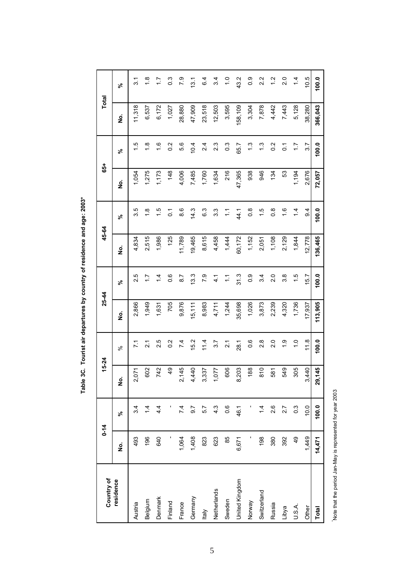| Country of     |        | $0 - 14$         | 15-24         |                  | $25 - 44$ |                  | 45-64   |                  | 65+    |                  | <b>Total</b> |                  |
|----------------|--------|------------------|---------------|------------------|-----------|------------------|---------|------------------|--------|------------------|--------------|------------------|
| residence      | ş      | వ్               | ş             | $\aleph$         | ş         | న్               | ş       | న్               | ş      | వ్               | ş            | వ్               |
| Austria        | 493    | 3.4              | 2,071         | 71               | 2,866     | 2.5              | 4,834   | 3.5              | 1,054  | 1.5              | 11,318       | 3.1              |
| Belgium        | 196    | 1.4              | 602           | $\overline{2.1}$ | 1,949     | 7.7              | 2,515   | $\frac{8}{1}$    | 1,275  | 1.8              | 6,537        | $\frac{8}{1}$    |
| Denmark        | 640    | 4.4              | 742           | 2.5              | 1,631     | $\frac{4}{4}$    | 1,986   | $\frac{5}{1}$    | 1,173  | 1.6              | 6,172        | $\overline{1.7}$ |
| Finland        |        |                  | $\frac{9}{4}$ | $\overline{0}$   | 705       | 0.6              | 125     | $\overline{0}$ . | 148    | $\frac{2}{3}$    | 1,027        | $0.\overline{3}$ |
| France         | 1,064  | 7.4              | 2,145         | 7.4              | 9,876     | $\overline{8.7}$ | 11,789  | 8.6              | 4,006  | 5.6              | 28,880       | 7.9              |
| Germany        | 1,408  | $\overline{9.7}$ | 4,440         | 15.2             | 15, 111   | 13.3             | 19,465  | 14.3             | 7,485  | 10.4             | 47,909       | 13.1             |
| ltaly          | 823    | 5.7              | 3,337         | 11.4             | 8,983     | 7.9              | 8,615   | 63               | 1,760  | 2.4              | 23,518       | 6.4              |
| Netherlands    | 623    | $4.\overline{3}$ | 1,077         | 3.7              | 4,711     | $\frac{1}{4}$    | 4,458   | 3.3              | 1,634  | 23               | 12,503       | 3.4              |
| Sweden         | 85     | $0.\overline{6}$ | 606           | $\overline{2.1}$ | 1,244     | $\frac{1}{2}$    | 1,444   | $\ddot{ }$       | 216    | $0.\overline{3}$ | 3,595        | $\frac{0}{1}$    |
| United Kingdom | 6,671  | 46.1             | 8,203         | 28.1             | 35,698    | 31.3             | 60,172  | 44.1             | 47,365 | 65.7             | 158,109      | 43.2             |
| Norway         |        |                  | 188           | 0.6              | 1,026     | $0.\overline{0}$ | 1,152   | 0.8              | 938    | $\frac{3}{2}$    | 3,304        | $0.\overline{9}$ |
| Switzerland    | 198    | 1.4              | 810           | 2.8              | 3,873     | 3.4              | 2,051   | 1.5              | 946    | $\frac{3}{2}$    | 7,878        | 2.2              |
| Russia         | 380    | 2.6              | 581           | 2.0              | 2,239     | 2.0              | 1,108   | $\frac{8}{2}$    | 134    | $\frac{2}{3}$    | 4,442        | $\frac{2}{1}$    |
| Libya          | 392    | 2.7              | 549           | $\frac{0}{1}$    | 4,320     | 3.8              | 2,129   | 1.6              | 53     | $\overline{0}$ . | 7,443        | 2.0              |
| U.S.A.         | QÞ     | $0.\overline{3}$ | 305           | $\frac{0}{1}$    | 1,736     | 1.5              | 1,844   | 1.4              | 1,194  | $\ddot{ }$ :     | 5,128        | 1.4              |
| Other          | 1,449  | 10.0             | 3,440         | 11.8             | 17,937    | 15.7             | 12,778  | $\overline{9}$   | 2,676  | 3.7              | 38,280       | 10.5             |
| Total          | 14,471 | 100.0            | 29,145        | 100.0            | 113,905   | 100.0            | 136,465 | 100.0            | 72,057 | 100.0            | 366,043      | 100.0            |

Table 3C. Tourist air departures by country of residence and age: 2003\* **Table 3C. Tourist air departures by country of residence and age: 2003\***

Note that the period Jan-May is represented for year 2003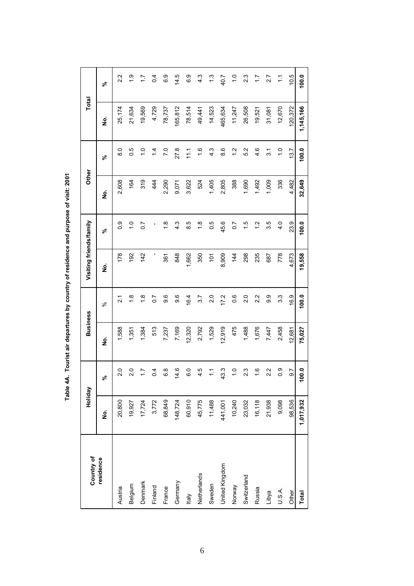| Country of     | Holiday   |                | <b>Business</b> |                  | Visiting friends/family |                  | Other  |                   | Total     |                       |
|----------------|-----------|----------------|-----------------|------------------|-------------------------|------------------|--------|-------------------|-----------|-----------------------|
| residence      | ş         | వ్             | <u>ؤ</u>        | ಸಿ               | <u>ہ</u>                | వ్               | ş      | వ్                | <u>ہ</u>  | వ్                    |
| Austria        | 20,800    | 2.0            | 1,588           | $\tilde{2}$      | 178                     | 0.9              | 2,608  | $\frac{8}{3}$     | 25,174    | 2.2                   |
| Belgium        | 19,927    | 2.0            | 1,351           | $\frac{8}{1}$    | 192                     | $\frac{0}{1}$    | 164    | 0.5               | 21,634    | $\frac{0}{1}$         |
| Denmark        | 17,724    | 17             | 1,384           | $\frac{8}{1}$    | 142                     | $\overline{0.7}$ | 319    | $\overline{1}$ .0 | 19,569    | $\ddot{ }$            |
| Finland        | 3,772     | $\overline{6}$ | 513             | $\overline{0.7}$ | ľ                       |                  | 444    | $\overline{4}$    | 4,729     | 0.4                   |
| France         | 68,849    | 8<br>0         | 7,237           | 9.6              | 361                     | $\frac{8}{1}$    | 2,290  | 7.0               | 78,737    | 6.9                   |
| Germany        | 148,724   | 14.6           | 7,169           | 9.6              | 848                     | 4.3              | 9,071  | 27.8              | 165,812   | 14.5                  |
| <b>Italy</b>   | 60,910    | C.O            | 12,320          | 16.4             | 1,662                   | 8.5              | 3,622  | 111               | 78,514    | 6.9                   |
| Netherlands    | 45,775    | 4.5            | 2,792           | 3.7              | 350                     | $\frac{8}{1}$    | 524    | 1.6               | 49,441    | $4.\overline{3}$      |
| Sweden         | 11,488    | こ              | 1,529           | 2.0              | $\frac{5}{2}$           | 0.5              | 1,405  | 4.3               | 14,523    | ت<br>ب                |
| United Kingdom | 441,001   | 43.3           | 12,919          | 17.2             | 8,909                   | 45.6             | 2,805  | 8.6               | 465,634   | 40.7                  |
| Norway         | 10,240    | $\frac{0}{1}$  | 475             | 0.6              | $\frac{44}{3}$          | 0.7              | 388    | 1.2               | 11,247    | $\frac{0}{1}$         |
| Switzerland    | 23,032    | 23             | 1,488           | 2.0              | 298                     | 1.5              | 1,690  | 5.2               | 26,508    | 2.3                   |
| Russia         | 16,118    | $\frac{6}{1}$  | 1,676           | $\frac{2}{3}$    | 235                     | $\frac{2}{1}$    | 1,492  | 4.6               | 19,521    | 77                    |
| Libya          | 21,938    | 2.2            | 7,447           | თ<br>თ           | 687                     | 3.5              | 1,009  | 31                | 31,081    | 2.7                   |
| U.S.A.         | 9,098     | 0.9            | 2,458           | 3.3              | 778                     | $\frac{0}{4}$    | 336    | $\frac{0}{1}$     | 12,670    | $\tilde{\mathcal{L}}$ |
| Other          | 98,536    | 5.6            | 12,681          | 16.9             | 4,673                   | 23.9             | 4,482  | 13.7              | 120,372   | 10.5                  |
| <b>Total</b>   | 1,017,932 | 0.001          | 75,027          | 100.0            | 19,558                  | 100.0            | 32,649 | 100.0             | 1,145,166 | 100.0                 |

Table 4A. Tourist air departures by country of residence and purpose of visit: 2001 **Table 4A. Tourist air departures by country of residence and purpose of visit: 2001**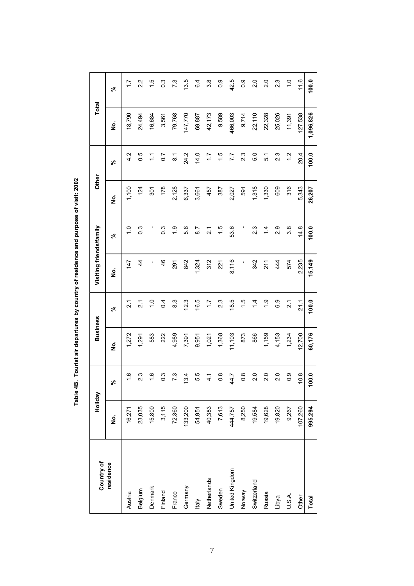| Country of     | Holiday |               | <b>Business</b> |                   | Visiting friends/family |                   | Other         |                  | Total     |                  |
|----------------|---------|---------------|-----------------|-------------------|-------------------------|-------------------|---------------|------------------|-----------|------------------|
| residence      | ġ       | వ్            | <u>ہ</u>        | వ్                | ş                       | వ్                | $\frac{1}{2}$ | వ్               | g         | వ్               |
| Austria        | 16,271  | $\frac{6}{1}$ | 1,272           | $\overline{21}$   | 147                     | $\frac{0}{1}$     | 1,100         | 4.2              | 18,790    | $\frac{1}{2}$    |
| Belgium        | 23,035  | 23            | 1,291           | $\overline{21}$   | $\frac{4}{3}$           | $\overline{0}$ .3 | 124           | 0.5              | 24,494    | 2.2              |
| Denmark        | 15,800  | $\frac{6}{1}$ | 583             | $\frac{0}{\tau}$  |                         |                   | 301           | $\sum$           | 16,684    | $\frac{5}{1}$    |
| Finland        | 3,115   | 0.3           | 222             | $\overline{0.4}$  | 46                      | $0.\overline{3}$  | 178           | $\overline{0}$ . | 3,561     | $0.\overline{3}$ |
| France         | 72,360  | 73            | 4,989           | 8.3               | 291                     | $\frac{6}{1}$     | 2,128         | $\overline{8.1}$ | 79,768    | 7.3              |
| Germany        | 133,200 | 13.4          | 7,391           | 12.3              | 842                     | 5.6               | 6,337         | 24.2             | 147,770   | 13.5             |
| <b>Italy</b>   | 54,951  | 5.5           | 9,951           | 16.5              | 1,324                   | 8.7               | 3,661         | 14.0             | 69,887    | 6.4              |
| Netherlands    | 40,383  | 1<br>4        | 1,021           | $\ddot{ }$ :      | 312                     | $\overline{2}$    | 457           | $\ddot{ }$ :     | 42,173    | 3.8              |
| Sweden         | 7,613   | $\frac{8}{1}$ | 1,368           | 23                | 221                     | 1.5               | 387           | 1.5              | 9,589     | 0.9              |
| United Kingdom | 444,757 | 44.7          | 11,103          | 18.5              | 8,116                   | 53.6              | 2,027         | 7.7              | 466,003   | 42.5             |
| Norway         | 8,250   | $\frac{8}{1}$ | 873             | 1.5               | ı                       |                   | 591           | 23               | 9,714     | 0.9              |
| Switzerland    | 19,584  | 2.0           | 866             | $\dot{4}$         | 342                     | $2.\overline{3}$  | 1,318         | 5.0              | 22,110    | 2.0              |
| Russia         | 19,628  | $\frac{0}{2}$ | 1,159           | $\frac{0}{1}$     | 211                     | 4.                | 1,330         | 5.1              | 22,328    | 2.0              |
| Libya          | 19,820  | 20            | 4,153           | 6.9               | 444                     | 2.9               | 609           | 2.3              | 25,026    | 2.3              |
| U.S.A.         | 9,267   | 0.0           | 1,234           | $\overline{2}$ .1 | 574                     | $3.\overline{8}$  | 316           | 1.2              | 11,391    | $\frac{0}{\tau}$ |
| Other          | 107,260 | 10.8          | 12,700          | 21.1              | 2,235                   | 14.8              | 5,343         | 20.4             | 127,538   | 11.6             |
| Total          | 995,294 | 0.001         | 60,176          | 100.0             | 15,149                  | 100.0             | 26,207        | 100.0            | 1,096,826 | 100.0            |

Table 4B. Tourist air departures by country of residence and purpose of visit: 2002 **Table 4B. Tourist air departures by country of residence and purpose of visit: 2002**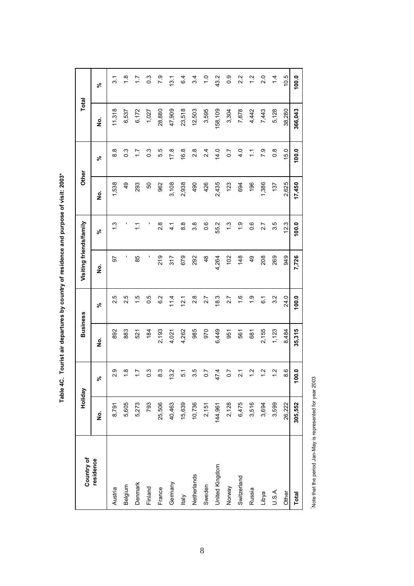Table 4C. Tourist air departures by country of residence and purpose of visit: 2003\* **Table 4C. Tourist air departures by country of residence and purpose of visit: 2003\***

| Country of     | Holiday |                  | <b>Business</b> |                  | Visiting friends/family |               | Other         |                       | Total   |                   |
|----------------|---------|------------------|-----------------|------------------|-------------------------|---------------|---------------|-----------------------|---------|-------------------|
| residence      | ġ       | వ్               | ş               | వ్               | ş                       | న్            | ş             | వ                     | ş       | వ్                |
| Austria        | 8,791   | 2.9              | 892             | 2.5              | 5                       | $\frac{3}{1}$ | 1,538         | 8.8                   | 11,318  | 31                |
| Belgium        | 5,605   | $\frac{8}{1}$    | 883             | 2.5              |                         |               | $\frac{4}{9}$ | $0.\overline{3}$      | 6,537   | $\frac{8}{1}$     |
| Denmark        | 5,273   | $\ddot{ }$ :     | 521             | 1.5              | 85                      | $\tilde{=}$   | 293           | 17                    | 6,172   | $\ddot{ }$ :      |
| Finland        | 793     | $\frac{3}{2}$    | 184             | 0.5              | ı                       |               | 50            | $0.\overline{3}$      | 1,027   | $\overline{0}$ .3 |
| France         | 25,506  | လ္ပဲ             | 2,193           | 6.2              | 219                     | 2.8           | 962           | 5.5                   | 28,880  | 7.9               |
| Germany        | 40,463  | 32               | 4,021           | 11.4             | 317                     | 4.1           | 3,108         | 17.8                  | 47,909  | 13.1              |
| ltaly          | 15,639  | 5.1              | 4,262           | 12.1             | 679                     | 8.8           | 2,938         | 16.8                  | 23,518  | 6.4               |
| Netherlands    | 10,736  | 3.5              | 985             | $\frac{8}{2}$    | 292                     | 3.8           | 490           | 2.8                   | 12,503  | 3.4               |
| Sweden         | 2,151   | $\overline{0.7}$ | 970             | 2.7              | 48                      | 0.6           | 426           | 2.4                   | 3,595   | $\frac{0}{1}$     |
| United Kingdom | 144,961 | 17.4             | 6,449           | 18.3             | 4,264                   | 55.2          | 2,435         | 14.0                  | 158,109 | 43.2              |
| Norway         | 2,128   | 0.7              | 951             | 2.7              | 102                     | 1.3           | 123           | $\overline{0}$ .      | 3,304   | $\frac{0}{2}$     |
| Switzerland    | 6,475   | $\overline{21}$  | 561             | 1.6              | 148                     | $\frac{0}{1}$ | 694           | 4.0                   | 7,878   | 2.2               |
| Russia         | 3,516   | $\frac{2}{1}$    | 681             | $\frac{0}{1}$    | $\frac{4}{9}$           | 0.6           | 196           | $\tilde{\mathcal{L}}$ | 4,442   | $\frac{2}{1}$     |
| Libya          | 3,694   | $\frac{2}{1}$    | 2,155           | $\overline{6}$ . | 208                     | 2.7           | 1,386         | 7.9                   | 7,443   | $\frac{0}{2}$     |
| U.S.A.         | 3,599   | $\frac{2}{1}$    | 1,123           | 3.2              | 269                     | 3.5           | 137           | $\frac{8}{2}$         | 5,128   | $\overline{4}$    |
| Other          | 26,222  | 8.6              | 8,484           | 24.0             | 949                     | 12.3          | 2,625         | 15.0                  | 38,280  | 10.5              |
| Total          | 305,552 | 100.0            | 35,315          | 100.0            | 7,726                   | 100.0         | 17,450        | 100.0                 | 366,043 | 100.0             |

Note that the period Jan-May is represented for year 2003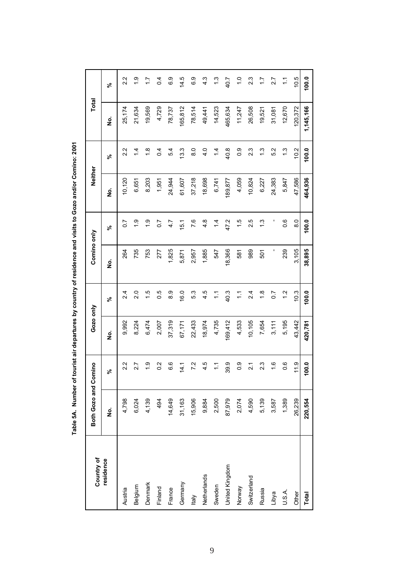| $\ddot{\cdot}$                                      |
|-----------------------------------------------------|
|                                                     |
| <b>とこでとう ヘリヘリ くそ くそうこ てくらく くうとうてこうしょう こうそうこうりょう</b> |
|                                                     |
|                                                     |
|                                                     |
|                                                     |
|                                                     |
|                                                     |
|                                                     |
|                                                     |
|                                                     |
| $\ddot{\phantom{a}}$                                |
|                                                     |
| nan m                                               |
| 7<br>7<br>7<br>7<br>7<br>7<br>7<br>7<br>7<br>7      |
|                                                     |
|                                                     |
|                                                     |
|                                                     |
|                                                     |
| j                                                   |

| Country of     | Both Gozo and | Comino                     | Gozo only          |                       | Comino only |                   | Neither |                  | Total     |                       |
|----------------|---------------|----------------------------|--------------------|-----------------------|-------------|-------------------|---------|------------------|-----------|-----------------------|
| residence      | <u>ş</u>      | $\mathcal{S}_{\mathbf{c}}$ | $\dot{\mathsf{z}}$ | వి                    | ş           | వి                | ş       | వి               | ş         | వ్                    |
| Austria        | 4,798         | 2.2                        | 9,992              | 2.4                   | 264         | $\overline{0}$    | 10,120  | 2.2              | 25,174    | 2.2                   |
| Belgium        | 6,024         | 2.7                        | 8,224              | 2.0                   | 735         | $\frac{0}{1}$     | 6,651   | 1.4              | 21,634    | $\frac{0}{1}$         |
| Denmark        | 4,139         | $\frac{0}{1}$              | 6,474              | 1.5                   | 753         | $\frac{0}{1}$     | 8,203   | $\frac{8}{1}$    | 19,569    | 17                    |
| Finland        | 494           | $\overline{0}$             | 2,007              | 0.5                   | 277         | $\overline{0.7}$  | 1,951   | $\overline{0}$   | 4,729     | $\overline{0}$        |
| France         | 14,649        | 6.6                        | 37,319             | $\frac{8}{6}$         | 1,825       | 4.7               | 24,944  | 54               | 78,737    | 6.9                   |
| Germany        | 31,163        | 14.1                       | 67,171             | 16.0                  | 5,871       | 15.1              | 61,607  | 13.3             | 165,812   | 14.5                  |
| <b>Italy</b>   | 15,906        | 7.2                        | 22,433             | 5.3                   | 2,957       | 7.6               | 37,218  | $\frac{0}{8}$    | 78,514    | 6.9                   |
| Netherlands    | 9,884         | 4.5                        | 18,974             | 4.5                   | 1,885       | 4.8               | 18,698  | 4.0              | 49,441    | 4.3                   |
| Sweden         | 2,500         | $\mathbf{1}$               | 4,735              | $\frac{1}{2}$         | 547         | $\overline{4}$    | 6,741   | 1.4              | 14,523    | $\frac{3}{2}$         |
| United Kingdom | 87,979        | 39.9                       | 169,412            | 40.3                  | 18,366      | 47.2              | 189,877 | 40.8             | 465,634   | 40.7                  |
| Norway         | 2,074         | $\frac{0}{2}$              | 4,533              | $\tilde{\mathcal{L}}$ | 581         | $\frac{1}{1}$     | 4,059   | $0.\overline{0}$ | 11,247    | $\frac{0}{1}$         |
| Switzerland    | 4,590         | $\overline{21}$            | 10,105             | 2.4                   | 989         | 2.5               | 10,824  | 23               | 26,508    | 2.3                   |
| Russia         | 5,139         | 23                         | 7,654              | $\frac{8}{1}$         | 501         | $\ddot{.}$        | 6,227   | 13               | 19,521    | 17                    |
| Libya          | 3,587         | $\frac{6}{1}$              | 3,111              | $\overline{0}$        |             |                   | 24,383  | 5.2              | 31,081    | 2.7                   |
| U.S.A.         | 1,389         | 0.6                        | 5,195              | $\frac{2}{1}$         | 239         | 0.6               | 5,847   | 1.3              | 12,670    | $\tilde{\mathcal{L}}$ |
| Other          | 26,239        | 11.9                       | 43,442             | 10.3                  | 3,105       | $\overline{8}$ .0 | 47,586  | 10.2             | 120,372   | 10.5                  |
| Total          | 220,554       | 100.0                      | 420,781            | 100.0                 | 38,895      | 100.0             | 464,936 | 100.0            | 1,145,166 | 100.0                 |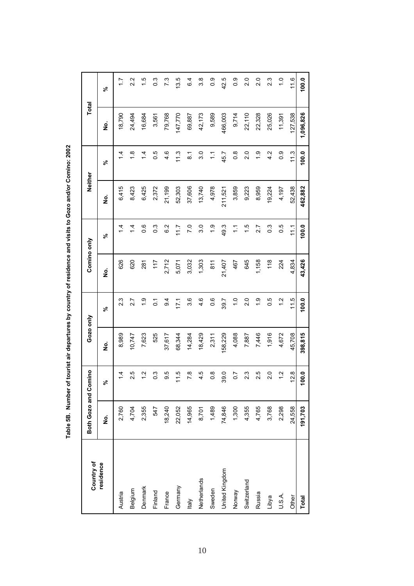Table 5B. Number of tourist air departures by country of residence and visits to Gozo and/or Comino: 2002 **Table 5B. Number of tourist air departures by country of residence and visits to Gozo and/or Comino: 2002**

| Country of     | Both Gozo and Comino |                   | Gozo only |                  | Comino only |                   | Neither |                       | Total     |               |
|----------------|----------------------|-------------------|-----------|------------------|-------------|-------------------|---------|-----------------------|-----------|---------------|
| residence      | ġ                    | వ్                | ş         | వ్               | غ<br>ع      | న్                | غ<br>ع  | వ్                    | ş         | వ్            |
| Austria        | 2,760                | $\frac{4}{4}$     | 8,989     | 2.3              | 626         | $\frac{4}{4}$     | 6,415   | $\frac{4}{4}$         | 18,790    | $\ddot{ }$ :  |
| Belgium        | 4,704                | 2.5               | 10,747    | 2.7              | 620         | $\overline{4}$    | 8,423   | $\frac{8}{1}$         | 24,494    | 2.2           |
| Denmark        | 2,355                | $\frac{2}{1}$     | 7,623     | $\frac{0}{1}$    | 281         | 0.6               | 6,425   | $\dot{4}$             | 16,684    | 1.5           |
| Finland        | 547                  | $0.\overline{3}$  | 525       | $\overline{0}$   | 117         | $\frac{3}{2}$     | 2,372   | 0.5                   | 3,561     | <b>ვ</b>      |
| France         | 18,240               | 5.6               | 37,617    | $\overline{9}$ . | 2,712       | $\frac{2}{6}$     | 21,199  | 4.6                   | 79,768    | 7.3           |
| Germany        | 22,052               | 11.5              | 68,344    | 171              | 5,071       | 11.7              | 52,303  | 11.3                  | 147,770   | 13.5          |
| <b>Italy</b>   | 14,965               | $\overline{7}$ .8 | 14,284    | 3.6              | 3,032       | $\overline{7.0}$  | 37,606  | $\overline{8}$ .      | 69,887    | 6.4           |
| Netherlands    | 8,701                | 4.5               | 18,429    | 4.6              | 1,303       | 3.0               | 13,740  | 3.0                   | 42,173    | 3.8           |
| Sweden         | 1,489                | $\frac{8}{2}$     | 2,311     | 0.6              | 811         | $\ddot{0}$        | 4,978   | $\tilde{\mathcal{L}}$ | 9,589     | 0.0           |
| United Kingdom | 74,846               | 39.0              | 158,229   | 39.7             | 21,407      | 49.3              | 211,521 | 45.7                  | 466,003   | 42.5          |
| Norway         | 1,300                | $\overline{0.7}$  | 4,088     | $\frac{0}{1}$    | 467         | $\frac{1}{2}$     | 3,859   | $\frac{8}{2}$         | 9,714     | $\frac{0}{2}$ |
| Switzerland    | 4,355                | 2.3               | 7,887     | $\frac{0}{2}$    | 645         | 1.5               | 9,223   | 2.0                   | 22,110    | 2.0           |
| Russia         | 4,765                | 2.5               | 7,446     | $\frac{0}{1}$    | 1,158       | 2.7               | 8,959   | $\frac{6}{1}$         | 22,328    | 2.0           |
| Libya          | 3,768                | 2.0               | 1,916     | 0.5              | 118         | $\overline{0}$ .3 | 19,224  | 4.2                   | 25,026    | 23            |
| U.S.A.         | 2,298                | $\frac{2}{1}$     | 4,672     | $\frac{2}{1}$    | 224         | 0.5               | 4,197   | 0.0                   | 11,391    | $\frac{0}{1}$ |
| Other          | 24,558               | 12.8              | 45,708    | 11.5             | 4,834       | 11.1              | 52,438  | 11.3                  | 127,538   | 11.6          |
| <b>Total</b>   | 191,703              | 100.0             | 398,815   | 100.0            | 43,426      | 100.0             | 462,882 | 100.0                 | 1,096,826 | 100.0         |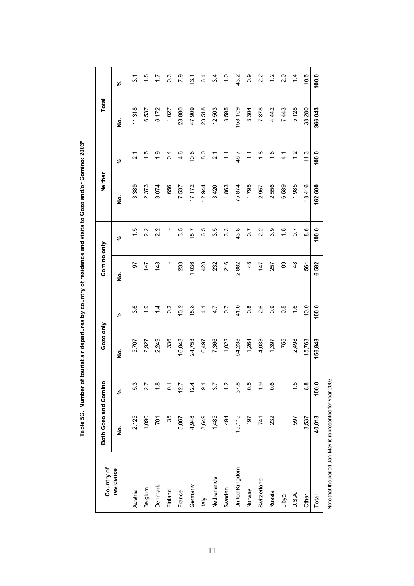| ;<br>;<br>;                           |
|---------------------------------------|
|                                       |
|                                       |
| $\vdots$<br><b>Sec. 2017</b>          |
|                                       |
| i<br>5<br>2<br>2<br>2                 |
|                                       |
|                                       |
|                                       |
|                                       |
|                                       |
|                                       |
| <b>A</b><br>Table EC<br>$\frac{3}{5}$ |

| Country of     | Both Gozo and Comino |                | Gozo only |                  | Comino only   |                  | Neither |                   | Total   |                   |
|----------------|----------------------|----------------|-----------|------------------|---------------|------------------|---------|-------------------|---------|-------------------|
| residence      | $\dot{\mathbf{z}}$   | వ్             | ş         | ಸಿ               | ġ             | వ్               | ş       | వ్                | ş       | వ్                |
| Austria        | 2,125                | 5.3            | 5,707     | 3.6              | 5             | 1.5              | 3,389   | $\overline{2}$ .1 | 11,318  | 3.1               |
| Belgium        | 1,090                | 2.7            | 2,927     | $\ddot{0}$       | 147           | 2.2              | 2,373   | 1.5               | 6,537   | $\frac{8}{1}$     |
| Denmark        | <b>POL</b>           | $\frac{8}{1}$  | 2,249     | $\dot{4}$        | 148           | 22               | 3,074   | $\frac{6}{1}$     | 6,172   | $\ddot{ }$ :      |
| Finland        | 35                   | $\overline{0}$ | 336       | 0.2              |               |                  | 656     | $\overline{0}$    | 1,027   | $0.\overline{3}$  |
| France         | 5,067                | 12.7           | 16,043    | 10.2             | 233           | 3.5              | 7,537   | 4.6               | 28,880  | 7.9               |
| Germany        | 4,948                | 12.4           | 24,753    | 15.8             | 1,036         | 15.7             | 17,172  | 10.6              | 47,909  | 13.1              |
| ltaly          | 3,649                | <u>ნ</u>       | 6,497     | 4.1              | 428           | 6.5              | 12,944  | $\frac{0}{8}$     | 23,518  | 6.4               |
| Netherlands    | 1,485                | 5.7            | 7,366     | 4.7              | 232           | 3.5              | 3,420   | $\overline{2}$ .1 | 12,503  | 3.4               |
| Sweden         | 494                  | $\frac{2}{1}$  | 1,022     | $\overline{0}$ . | 216           | 3.3              | 1,863   | $\frac{1}{2}$     | 3,595   | $\overline{1}$ .0 |
| United Kingdom | 15,115               | 37.8           | 64,238    | 41.0             | 2,882         | 43.8             | 75,874  | 46.7              | 158,109 | 43.2              |
| Norway         | 197                  | 0.5            | 1,264     | $\frac{8}{2}$    | $\frac{8}{3}$ | $\overline{0.7}$ | 1,795   | $\tilde{=}$       | 3,304   | 0.0               |
| Switzerland    | 741                  | $\frac{0}{1}$  | 4,033     | 2.6              | 147           | 2.2              | 2,957   | $\frac{8}{1}$     | 7,878   | 2.2               |
| Russia         | 232                  | 0.6            | 1,397     | $\frac{0}{2}$    | 257           | 3.9              | 2,556   | $\frac{6}{1}$     | 4,442   | $\frac{2}{1}$     |
| Libya          |                      |                | 755       | 0.5              | 99            | 1.5              | 6,589   | $\frac{1}{4}$     | 7,443   | 2.0               |
| U.S.A.         | 597                  | 1.5            | 2,498     | $\frac{6}{1}$    | 48            | $\overline{0}$   | 1,985   | $\frac{2}{1}$     | 5,128   | $\dot{4}$         |
| Other          | 3,537                | $\frac{8}{8}$  | 15,763    | 10.0             | 564           | 8.6              | 18,416  | 11.3              | 38,280  | 10.5              |
| <b>Total</b>   | 40,013               | 100.0          | 156,848   | 100.0            | 6,582         | 100.0            | 162,600 | 100.0             | 366,043 | 100.0             |

Note that the period Jan-May is represented for year 2003 \* Note that the period Jan-May is represented for year 2003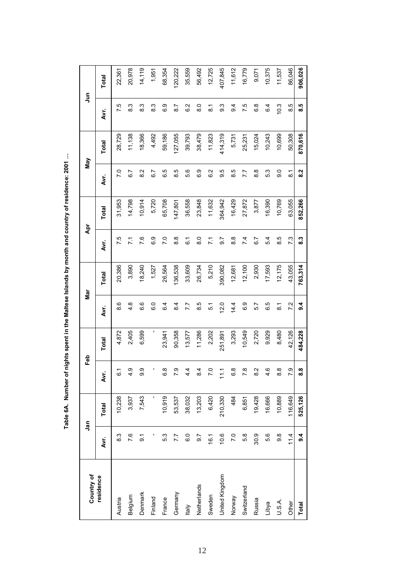Table 6A. Number of nights spent in the Maltese Islands by month and country of residence: 2001 ... **Table 6A. Number of nights spent in the Maltese Islands by month and country of residence: 2001 …**

| Country of     |                  | <b>Jan</b> |                  | Feb     |                    | Nar     |                  | Apr     |                  | Nay     |                  | $\frac{5}{2}$ |
|----------------|------------------|------------|------------------|---------|--------------------|---------|------------------|---------|------------------|---------|------------------|---------------|
| residence      | Avr.             | Total      | Avr.             | Total   | Avr.               | Total   | Дvг.             | Total   | Avr.             | Total   | Аvг.             | Total         |
| Austria        | 8.3              | 10,238     | $\overline{6}$ . | 4,872   | 8.6                | 20,386  | 7.5              | 31,953  | 7.0              | 28,729  | 7.5              | 22,361        |
| Belgium        | 7.6              | 3,937      | $\frac{9}{4}$    | 2,405   | $\frac{8}{4}$      | 3,890   | $\overline{7.1}$ | 14,798  | 6.7              | 11,138  | 8.3              | 20,978        |
| Denmark        | $\overline{9}$ . | 7,543      | 9.9              | 6,599   | 6.6                | 18,240  | 7.6              | 10,914  | 8.2              | 18,366  | 8.3              | 14,119        |
| Finland        |                  |            |                  | ı       | c.o                | 1,527   | စိ               | 5,720   | 6.7              | 4,492   | က<br>ထ           | 1,951         |
| France         | 53               | 10,919     | 8.9              | 23,941  | $6\overline{4}$    | 26,564  | 7.0              | 65,708  | 6.5              | 59,186  | G.G              | 68,354        |
| Germany        | 7.7              | 53,537     | 7.9              | 90,358  | $\overline{8.4}$   | 136,538 | 8.8              | 147,801 | 8.5              | 127,055 | 8.7              | 120,222       |
| <b>Italy</b>   | 6.0              | 38,032     | 4.4              | 13,577  | 7.7                | 33,609  | $\overline{6}$ . | 36,558  | 5.6              | 39,793  | 6.2              | 35,559        |
| Netherlands    | $\overline{6}$   | 13,203     | 8.4              | 11,286  | 8.5                | 26,734  | $\frac{0}{8}$    | 23,848  | 6.9              | 38,479  | $\frac{0}{8}$    | 56,492        |
| Sweden         | 16.1             | 6,420      | 7.0              | 2,202   | 5.1                | 5,210   | $\overline{7.1}$ | 11,632  | 6.2              | 11,823  | $\overline{8}$ . | 12,725        |
| United Kingdom | 10.6             | 210,330    | $\frac{1}{2}$    | 251,891 | 12.0               | 390,082 | 5.7              | 364,942 | 9.5              | 414,319 | 9.3              | 407,845       |
| Norway         | 7.0              | 484        | $\frac{8}{6}$    | 3,293   | 14.4               | 12,681  | $\frac{8}{8}$    | 16,429  | 8.5              | 5,731   | $\overline{9}$   | 11,612        |
| Switzerland    | 5.8              | 6,851      | 7.8              | 10,549  | 6.9                | 12,100  | 7.4              | 27,872  | 7.7              | 25,231  | 7.5              | 16,779        |
| Russia         | 30.9             | 19,428     | 8.2              | 2,720   | 5.7                | 2,930   | 6.7              | 3,877   | $\frac{8}{3}$    | 15,024  | 6.8              | 9,071         |
| Libya          | 5.6              | 16,666     | 4.6              | 9,929   | 6.5                | 17,593  | 5.4              | 16,390  | 53               | 10,243  | $6\overline{4}$  | 10,375        |
| U.S.A.         | 9.8              | 10,889     | $\frac{8}{8}$    | 8,480   | $\overline{\circ}$ | 12,175  | 8.5              | 10,769  | 9.0              | 10,699  | 10.3             | 11,537        |
| Other          | 11.4             | 116,649    | 7.9              | 42,126  | 72                 | 43,055  | 7.3              | 63,055  | $\overline{8}$ . | 50,308  | 8.5              | 86,046        |
| Total          | 9.4              | 525,126    | 8.8              | 484,228 | 9.4                | 763,314 | 8.3              | 852,266 | 8.2              | 870,616 | 8.5              | 906,026       |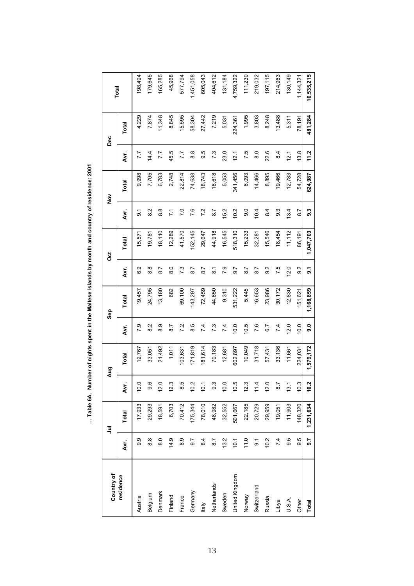| Country of     |                  | ミ         |      | Aug          |                 | Sep       |                   | ö            |                | $\frac{5}{2}$ |               | Dec     |            |
|----------------|------------------|-----------|------|--------------|-----------------|-----------|-------------------|--------------|----------------|---------------|---------------|---------|------------|
| residence      | Avr.             | Total     | Avr. | <b>Total</b> | Ž۳.             | Total     | Ä۷۲.              | <b>Total</b> | Ä۷۲.           | Total         | Ä۷۲.          | Total   | Total      |
| Austria        | თ<br>თ           | 17,933    | 10.0 | 12,767       | 79              | 19,457    | <b>့</b> ၁        | 15,571       | 5.             | 9,998         | 7.7           | 4,229   | 198,494    |
| Belgium        | $\frac{8}{8}$    | 29,293    | 9.6  | 33,051       | $\frac{2}{8}$   | 24,795    | $\frac{8}{8}$     | 19,781       | $\frac{2}{8}$  | 7,705         | 14.4          | 7,874   | 179,645    |
| Denmark        | $\frac{0}{8}$    | 18,591    | 12.0 | 21,492       | 8.9             | 13,180    | 8.7               | 18,110       | $\frac{8}{8}$  | 6,783         | 7.7           | 11,348  | 165,285    |
| Finland        | 14.9             | 6,703     | 12.3 | 1,011        | 8.7             | 682       | $\overline{8}$ .0 | 12,289       | 7.1            | 2,748         | 45.5          | 8,845   | 45,968     |
| France         | 8.9              | 70,412    | 8.5  | 103,631      | 7.2             | 69,100    | 7.3               | 41,570       | 7.0            | 22,814        | 7.7           | 15,595  | 577,794    |
| Germany        | $\overline{9.7}$ | 175,344   | 10.2 | 171,819      | 8.5             | 143,297   | 8.7               | 152,145      | 7.6            | 74,638        | $\frac{8}{8}$ | 58,304  | 1,451,058  |
| ltaly          | 8.4              | 78,010    | 10.1 | 181,614      | $\overline{74}$ | 72,459    | $\overline{8}$ .7 | 29,647       | 7.2            | 18,743        | 9.9           | 27,442  | 605,043    |
| Netherlands    | 8.7              | 48,982    | 9.3  | 70,183       | 7.3             | 44,650    | $\overline{8}$ .  | 44,918       | 8.7            | 18,618        | 7.3           | 7,219   | 404,612    |
| Sweden         | 13.2             | 32,552    | 10.0 | 12,681       | $\overline{74}$ | 9,310     | P.9               | 16,545       | 15.2           | 5,053         | 23.0          | 5,031   | 131,184    |
| United Kingdom | 10.1             | 501,667   | 10.5 | 602,897      | 10.0            | 531,222   | 9.7               | 518,310      | 10.2           | 341,456       | 12.1          | 224,361 | 4,759,322  |
| Norway         | 11.0             | 22,185    | 12.3 | 10,049       | 10.5            | 5,445     | 8.7               | 15,233       | 9.0            | 6,093         | 7.5           | 1,995   | 111,230    |
| Switzerland    | $\overline{9}$   | 20,729    | 11.4 | 31,718       | 7.6             | 16,653    | 8.7               | 32,281       | 10.4           | 14,466        | $\frac{0}{8}$ | 3,803   | 219,032    |
| Russia         | 10.2             | 29,959    | 12.0 | 57,431       | 6.7             | 23,986    | $\overline{9}$ .2 | 15,546       | $\frac{4}{6}$  | 8,895         | 22.6          | 8,248   | 197,115    |
| Libya          | 74               | 19,051    | 8.7  | 33,136       | $\overline{74}$ | 30,172    | 7.5               | 18,454       | 9.3            | 19,466        | 8.4           | 13,488  | 214,963    |
| U.S.A.         | 9.5              | 11,903    | 13.1 | 11,661       | 12.0            | 12,830    | 12.0              | 11,112       | 13.4           | 12,783        | 12.1          | 5,311   | 130,149    |
| Other          | 9.5              | 148,320   | 10.3 | 224,031      | 10.0            | 51,621    | $\frac{2}{9}$     | 86,191       | $\overline{8}$ | 54,728        | 13.8          | 78,191  | 1,144,321  |
| Total          | 9.7              | 1,231,634 | 10.2 | 1,579,172    | 9.0             | 1,168,859 | $\overline{9}$ .  | 1,047,703    | 9.3            | 624,987       | 11.2          | 481,284 | 10,535,215 |

... Table 6A. Number of nights spent in the Maltese Islands by month and country of residence: 2001 **… Table 6A. Number of nights spent in the Maltese Islands by month and country of residence: 2001**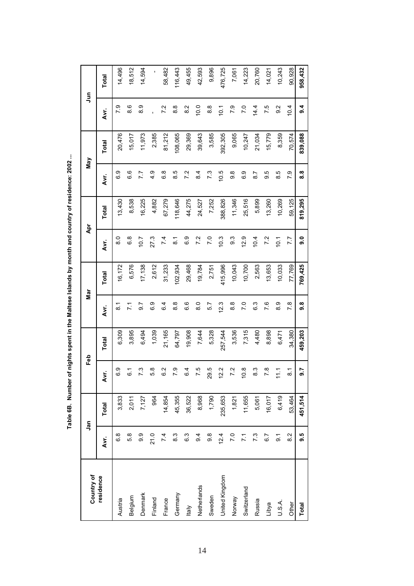Table 6B. Number of nights spent in the Maltese Islands by month and country of residence: 2002 ... **Table 6B. Number of nights spent in the Maltese Islands by month and country of residence: 2002 ...**

| Country of     |                 | ງສຸ          |                    | Feb     |                   | Nar     |                  | Ā       |                | Nay     |                  | Ę       |
|----------------|-----------------|--------------|--------------------|---------|-------------------|---------|------------------|---------|----------------|---------|------------------|---------|
| residence      | Avr.            | <b>Total</b> | Avr.               | Total   | Avr.              | Total   | Avr.             | Total   | Avr.           | Total   | Avr.             | Total   |
| Austria        | 6.8             | 3,833        | 6.9                | 6,309   | <u>ू</u>          | 16,172  | $\frac{8}{6}$    | 13,430  | 6.9            | 20,476  | 7.9              | 14,496  |
| Belgium        | 5.8             | 2,011        | 61                 | 3,895   | $\overline{71}$   | 6,576   | 6.8              | 8,538   | 6.6            | 15,017  | 8.6              | 18,512  |
| Denmark        | တ္ပ             | 7,127        | 73                 | 6,494   | $\overline{6}$    | 17,138  | 10.7             | 16,225  | 7.7            | 11,973  | თ<br>თ           | 14,594  |
| Finland        | 21.0            | 964          | 5.8                | 1,039   | 6.9               | 2,612   | 27.3             | 4,882   | 4.9            | 2,385   |                  | ı       |
| France         | 7.4             | 14,854       | c<br>c             | 21,165  | 6.4               | 31,233  | 7.4              | 67,279  | 6.8            | 81,212  | 7.2              | 58,482  |
| Germany        | 8.3             | 45,355       | 7.9                | 64,797  | $\frac{8}{6}$     | 102,934 | $\overline{8}$ . | 118,646 | 8.5            | 108,065 | $\frac{8}{6}$    | 116,443 |
| <b>Italy</b>   | 6.3             | 36,522       | 6.4                | 19,908  | 6.6               | 29,468  | ი<br>ბ           | 44,275  | 7.2            | 29,369  | 2<br>8           | 49,455  |
| Netherlands    | $\overline{9}$  | 8,968        | 7.5                | 7,644   | 8.0               | 19,784  | 7.2              | 24,527  | 8.4            | 39,643  | 10.0             | 42,593  |
| Sweden         | 9.8             | 1,790        | 29.5               | 5,328   | 5.7               | 2,751   | 7.0              | 7,252   | 7.3            | 3,585   | $\frac{8}{8}$    | 9,896   |
| United Kingdom | 12.4            | 235,653      | $\frac{2}{2}$      | 257,544 | 12.3              | 415,996 | 10.3             | 388,826 | 10.5           | 392,305 | 10.1             | 476,725 |
| Norway         | 7.0             | 1,821        | 7.2                | 3,536   | $\frac{8}{8}$     | 10,043  | <u>ვ</u>         | 11,346  | 9.8            | 9,065   | 7.9              | 7,061   |
| Switzerland    | $\overline{71}$ | 11,655       | $\frac{8}{2}$      | 7,315   | $\overline{7}$ .0 | 10,700  | 12.9             | 25,516  | 6.9            | 10,247  | $\overline{7.0}$ | 14,223  |
| Russia         | 7.3             | 5,061        | 8.3                | 4,480   | 6.3               | 2,563   | 10.4             | 5,899   | $\overline{8}$ | 21,034  | 14.4             | 20,760  |
| Libya          | 6.7             | 16,017       | 7.8                | 8,898   | 7.6               | 13,653  | 7.2              | 13,260  | 9.5            | 15,779  | 7.5              | 14,021  |
| U.S.A.         | 5               | 6,419        | $\tilde{L}$        | 6,471   | 8.9               | 10,033  | 10.1             | 10,269  | 8.5            | 8,359   | $\frac{2}{9}$    | 10,243  |
| Other          | $\frac{2}{8}$   | 53,464       | $\overline{\circ}$ | 34,380  | 7.8               | 77,769  | 7.7              | 59,125  | 7.9            | 70,574  | 10.4             | 90,928  |
| Total          | 9.5             | 451,514      | 9.7                | 459,203 | 9.8               | 769,425 | 0.6              | 819,295 | 8.8            | 839,088 | $3\overline{4}$  | 958,432 |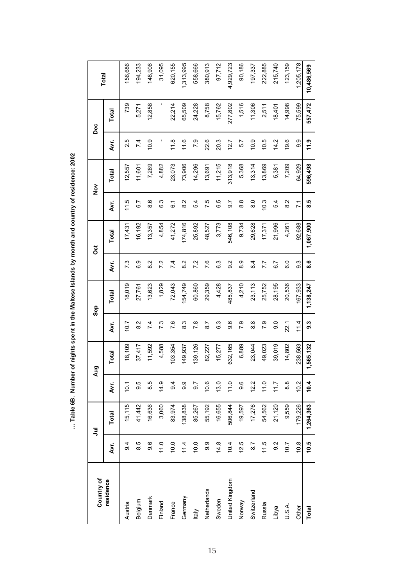| Country of     |                  | ミ         |               | Aug       |               | Sep       |                  | ö         |                 | $\frac{8}{2}$ |                 | Dec     | Total      |
|----------------|------------------|-----------|---------------|-----------|---------------|-----------|------------------|-----------|-----------------|---------------|-----------------|---------|------------|
| residence      | Дvr.             | Total     | Avr.          | Total     | ŽУ.           | Total     | ÄУr.             | Total     | Д.<br>К         | Total         | ÄУr.            | Total   |            |
| Austria        | $\overline{9}$   | 15,115    | 10.1          | 18,109    | 10.7          | 18,019    | 7.3              | 17,431    | 11.5            | 12,557        | 2.5             | 739     | 156,686    |
| Belgium        | 8.5              | 41,442    | 9.5           | 37,417    | 8.2           | 27,761    | 0.<br>ග          | 16,192    | 6.7             | 11,601        | $\overline{74}$ | 5,271   | 194,233    |
| Denmark        | 9.6              | 16,636    | 8.5           | 11,592    | 7.4           | 13,623    | $\frac{2}{8}$    | 13,357    | 8.6             | 7,289         | 10.9            | 12,858  | 148,906    |
| Finland        | 11.0             | 3,060     | 14.9          | 4,588     | 73            | 1,829     | 7.2              | 4,854     | 6.3             | 4,882         |                 |         | 31,095     |
| France         | 10.0             | 83,974    | $\frac{4}{9}$ | 103,354   | 7.6           | 72,043    | 7.4              | 41,272    | <u>:</u>        | 23,073        | 11.8            | 22,214  | 620,155    |
| Germany        | 11.4             | 138,838   | 9.9           | 149,937   | 8.3           | 54,749    | 8.2              | 174,816   | $\frac{2}{8}$   | 73,906        | 11.6            | 65,509  | 1,313,995  |
| ltaly          | 10.0             | 85,267    | 5.6           | 139,126   | $\frac{8}{1}$ | 60,860    | 7.2              | 25,892    | 54              | 14,296        | 7.9             | 24,228  | 558,666    |
| Netherlands    | 9.9              | 55,192    | 10.6          | 82,227    | 8.7           | 29,359    | 7.6              | 48,527    | 7.5             | 13,691        | 22.6            | 8,758   | 380,913    |
| Sweden         | 14.8             | 16,655    | 13.0          | 15,277    | 6.3           | 4,428     | 6.3              | 3,773     | 6.5             | 11,215        | 20.3            | 15,762  | 97,712     |
| United Kingdom | 10.4             | 506,844   | 11.0          | 632,165   | 9.6           | 485,837   | $\overline{9.2}$ | 546,108   | $\overline{6}$  | 313,918       | 12.7            | 277,802 | 4,929,723  |
| Norway         | 12.5             | 19,597    | 9.6           | 6,889     | 7.9           | 4,210     | 8.9              | 9,734     | 8.9             | 5,368         | 5.7             | 1,516   | 90,186     |
| Switzerland    | 8.7              | 17,276    | 12.2          | 23,044    | $\frac{8}{8}$ | 23,113    | 8.4              | 29,628    | $\frac{0}{8}$   | 13,314        | 10.9            | 11,306  | 197,337    |
| Russia         | 11.5             | 54,562    | 11.0          | 49,023    | 7.9           | 25,752    | 7.7              | 17,371    | 10.3            | 13,869        | 10.5            | 2,511   | 222,885    |
| Libya          | $\overline{9.2}$ | 21,120    | 11.7          | 39,019    | o o           | 28,195    | 6.7              | 21,996    | 5.4             | 5,381         | 14.2            | 18,401  | 215,740    |
| U.S.A.         | 10.7             | 9,559     | $\frac{8}{8}$ | 14,802    | 22.1          | 20,536    | c.o              | 4,261     | $\frac{2}{8}$   | 7,209         | 19.6            | 14,998  | 123,159    |
| Other          | 10.8             | 179,226   | 10.2          | 238,563   | 11.4          | 167,933   | 9.3              | 92,688    | $\overline{71}$ | 64,929        | 9.9             | 75,599  | 1,205,178  |
| Total          | 10.5             | 1,264,363 | 10.4          | 1,565,132 | <b>ვ.</b>     | 1,138,247 | 8.6<br>8         | 1,067,900 | 6.5             | 596,498       | 11.9            | 557,472 | 10,486,569 |

... Table 6B. Number of nights spent in the Maltese Islands by month and country of residence: 2002 **… Table 6B. Number of nights spent in the Maltese Islands by month and country of residence: 2002**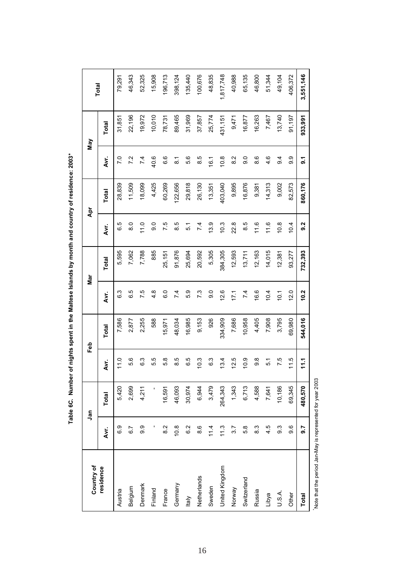|                         |                  | ງສຸ     |      | ය<br>ਜ  |                  | Nar     |                   | Āpr     |                    | Nay     |           |
|-------------------------|------------------|---------|------|---------|------------------|---------|-------------------|---------|--------------------|---------|-----------|
| Country of<br>residence | Avr.             | Total   | Avr. | Total   | Аvг.             | Total   | Avr.              | Total   | ξ.                 | Total   | Total     |
| Austria                 | 6.9              | 5,420   | 11.0 | 7,586   | 6.3              | 5,595   | 6.5               | 28,839  | 7.0                | 31,851  | 79,291    |
| Belgium                 | $\overline{6.7}$ | 2,699   | 5.6  | 2,877   | 6.5              | 7,062   | $\frac{0}{8}$     | 11,509  | 7.2                | 22,196  | 46,343    |
| Denmark                 | 9.9              | 4,211   | 6.3  | 2,255   | 7.5              | 7,788   | 11.0              | 18,099  | $\overline{74}$    | 19,972  | 52,325    |
| Finland                 |                  |         | 5.5  | 588     | $4.\overline{8}$ | 885     | $\overline{9}$ .0 | 4,425   | 40.6               | 10,010  | 15,908    |
| France                  | $\frac{2}{8}$    | 16,591  | 6.9  | 15,971  | 6.0              | 25,151  | 7.5               | 60,269  | 6.6                | 78,731  | 196,713   |
| Germany                 | 10.8             | 46,093  | 8.5  | 48,034  | 7.4              | 91,876  | 8.5               | 122,656 | $\overline{\circ}$ | 89,465  | 398,124   |
| $\frac{y}{x}$           | $\frac{2}{3}$    | 30,974  | 6.5  | 16,985  | 5.9              | 25,694  | 5.1               | 29,818  | 5.6                | 31,969  | 135,440   |
| Netherlands             | 8.6              | 6,944   | 10.3 | 9,153   | 7.3              | 20,592  | 7.4               | 26,130  | 8.5                | 37,857  | 100,676   |
| Sweden                  | 11.4             | 3,479   | 63   | 926     | $\frac{0}{9}$    | 5,305   | 13.9              | 13,351  | 16.1               | 25,774  | 48,835    |
| United Kingdom          | 11.3             | 264,343 | 13.4 | 334,909 | 12.6             | 384,305 | 10.3              | 403,040 | 10.8               | 431,151 | 1,817,748 |
| Norway                  | 3.7              | 1,343   | 12.5 | 7,686   | 17.1             | 12,593  | 22.8              | 9,895   | $\frac{2}{8}$      | 9,471   | 40,988    |
| Switzerland             | 5.8              | 6,713   | 10.9 | 10,958  | 7.4              | 13,711  | 6.5               | 16,876  | 0<br>ග             | 16,877  | 65,135    |
| Russia                  | 83               | 4,588   | 8.6  | 4,405   | 16.6             | 12,163  | 11.6              | 9,381   | 8.6                | 16,263  | 46,800    |
| Libya                   | 4.5              | 7,641   | 5.1  | 7,908   | 10.4             | 14,015  | 11.6              | 14,313  | 4.6                | 7,467   | 51,344    |
| U.S.A.                  | 9.3              | 10,186  | 7.5  | 3,795   | 10.1             | 12,381  | 10.8              | 9,002   | 94                 | 13,740  | 49,104    |
| Other                   | 9.6              | 69,345  | 11.5 | 69,980  | 12.0             | 93,277  | 10.4              | 82,573  | σ<br>တ             | 91,197  | 406,372   |
| Total                   | 9.7              | 480,570 | 11.1 | 544,016 | 10.2             | 732,393 | 9.2               | 860,176 | $5\overline{1}$    | 933,991 | 3,551,146 |

Table 6C. Number of nights spent in the Maltese Islands by month and country of residence: 2003\* **Table 6C. Number of nights spent in the Maltese Islands by month and country of residence: 2003\***

Note that the period Jan-May is represented for year 2003 Note that the period Jan-May is represented for year 2003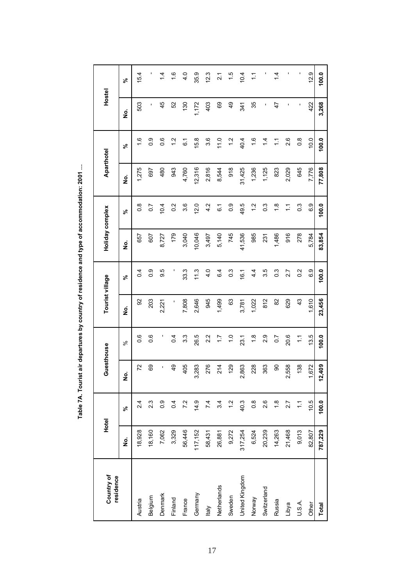| $\ddot{\phantom{a}}$ |
|----------------------|
|                      |
|                      |
|                      |
| ّ<br>ہ               |
|                      |
| ຸ<br>ŗ               |
|                      |
|                      |
|                      |
|                      |
| I                    |
| l                    |

| Country of<br>residence | Hotel   |                       | Guesthouse               |                  |        | Tourist village  | Holiday complex |                  | Aparthotel |                  | Hostel        |               |
|-------------------------|---------|-----------------------|--------------------------|------------------|--------|------------------|-----------------|------------------|------------|------------------|---------------|---------------|
|                         | ş       | వ్                    | <u>o</u>                 | వ్               | ş      | న్               | <u>ہ</u>        | న్               | <u>ہ</u>   | వి               | ş             | వి            |
| Austria                 | 18,928  | 2.4                   | 72                       | 0.6              | 8      | $\overline{0.4}$ | 657             | $\frac{8}{2}$    | 1,275      | $\frac{6}{1}$    | 503           | 15.4          |
| Belgium                 | 18,160  | 2.3                   | 69                       | 0.6              | 203    | 0.9              | 607             | $\overline{0}$ . | 697        | 0.9              |               |               |
| Denmark                 | 7,062   | $0.\overline{9}$      |                          |                  | 2,221  | 9.5              | 8,727           | 10.4             | 480        | 0.6              | 45            | 4             |
| Finland                 | 3,329   | 0.4                   | $\frac{9}{4}$            | 0.4              |        |                  | 179             | 0.2              | 943        | $\ddot{c}$       | 52            | 1.6           |
| France                  | 56,446  | 7.2                   | 405                      | 3.3              | 7,808  | 33.3             | 3,040           | 3.6              | 4,760      | 61               | 130           | $\frac{1}{4}$ |
| Germany                 | 117,152 | 14.9                  | 283<br>ო                 | 26.5             | 2,646  | 11.3             | 10,046          | 12.0             | 12,316     | 15.8             | 1,172         | 35.9          |
| <b>Italy</b>            | 58,431  | 7.4                   | 276                      | 2.2              | 945    | 4.0              | 3,497           | 4.2              | 2,816      | 3.6              | 403           | 12.3          |
| Netherlands             | 26,881  | 34                    | 214                      | $\ddot{ }$ :     | 1,499  | 6.4              | 5,140           | $\overline{6}$ . | 8,544      | 11.0             | 89            | $\frac{1}{2}$ |
| Sweden                  | 9,272   | $\ddot{ }$            | 129                      | $\frac{0}{1}$    | යි     | $0.\overline{3}$ | 745             | 0.9              | 918        | $\frac{2}{1}$    | $\frac{9}{4}$ | 1.5           |
| United Kingdom          | 317,254 | 40.3                  | 863<br>$\mathbf{\Omega}$ | 23.1             | 3,781  | 16.1             | 41,536          | 49.5             | 31,425     | 40.4             | 341           | 10.4          |
| Norway                  | 6,524   | $0.\overline{8}$      | 228                      | $\frac{8}{1}$    | 1,022  | $4\frac{4}{1}$   | 985             | 1.2              | 1,236      | 1.6              | 35            | $\tilde{=}$   |
| Switzerland             | 20,239  | 2.6                   | 363                      | 2.9              | 812    | 3.5              | 231             | $0.\overline{3}$ | 1,125      | $\dot{4}$        |               |               |
| Russia                  | 14,263  | $\frac{8}{1}$         | 90                       | $\overline{0}$ . | 82     | $0.\overline{3}$ | 1,486           | $\frac{8}{1}$    | 823        | $\sum$           | 47            | 1.4           |
| Libya                   | 21,468  | 2.7                   | 558<br>$\mathbf{\Omega}$ | 20.6             | 629    | 2.7              | 916             | $\sum$           | 2,029      | 2.6              |               |               |
| U.S.A.                  | 9,013   | $\tilde{\mathcal{L}}$ | 138                      | $\tilde{\cdot}$  | 43     | 0.2              | 278             | $0.\overline{3}$ | 645        | $0.\overline{8}$ | ı             |               |
| Other                   | 82,807  | 10.5                  | 672                      | 13.5             | 1,610  | 6.9              | 5,784           | 6.9              | 7,776      | 10.0             | 422           | 12.9          |
| Total                   | 787,229 | 100.0                 | 001<br>$\mathbf{5}$      | 100.0            | 23,456 | 100.0            | 83,854          | 100.0            | 77,808     | 100.0            | 3,268         | 100.0         |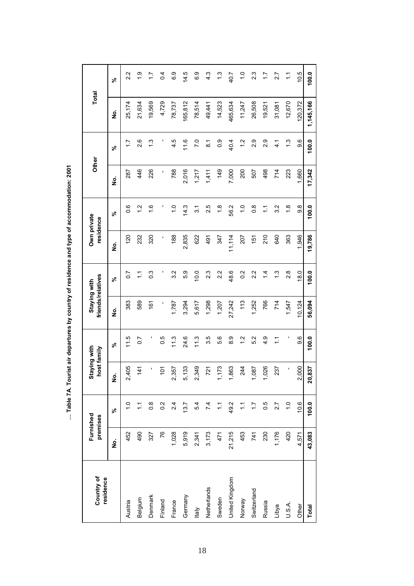| Country of<br>residence |        | Furnished<br>premises | Staying with<br>host family     |                  | friends/relatives<br>Staying with |                  | Own private<br>residence |                   | Other  |                    | Total     |                       |
|-------------------------|--------|-----------------------|---------------------------------|------------------|-----------------------------------|------------------|--------------------------|-------------------|--------|--------------------|-----------|-----------------------|
|                         | ş      | వ్                    | <u>ş</u>                        | న్               | غ<br>ع                            | న్               | ş                        | న్                | ş      | వి                 | ġ         | $\epsilon$            |
| Austria                 | 452    | $\frac{0}{1}$         | 405<br>$\mathbf{\Omega}$        | 11.5             | 383                               | $\overline{0}$   | 120                      | 0.6               | 287    | $\overline{1}$     | 25,174    | 2.2                   |
| Belgium                 | 490    | $\tilde{\mathcal{L}}$ | $\frac{4}{1}$                   | $\overline{0}$ . | 589                               | $\frac{1}{2}$    | 232                      | $\frac{2}{1}$     | 446    | 2.6                | 21,634    | $\frac{6}{1}$         |
| Denmark                 | 327    | $0.\overline{8}$      | ı                               | ı                | 161                               | $0.\overline{3}$ | 320                      | $\frac{6}{1}$     | 226    | $\frac{3}{1}$      | 19,569    | $\ddot{ }$            |
| Finland                 | 76     | 0.2                   | $\overline{5}$                  | 0.5              | ı                                 | ٠                | ı                        |                   | ı      |                    | 4,729     | 0.4                   |
| France                  | 1,028  | 24                    | 357<br>$\mathbf{\Omega}$        | 11.3             | 1,787                             | 3.2              | 188                      | $\overline{1}$ .0 | 788    | 4.5                | 78,737    | 6.9                   |
| Germany                 | 5,919  | 13.7                  | ,133<br>Ю                       | 24.6             | 3,294                             | 5.9              | 2,835                    | 14.3              | 2,016  | 11.6               | 165,812   | 14.5                  |
| ltaly                   | 2,341  | 5.4                   | 349<br>$\mathbf{\Omega}$        | 11.3             | 5,617                             | 10.0             | 622                      | $\overline{3}$    | 1,217  | 7.0                | 78,514    | G.G                   |
| Netherlands             | 3,173  | 7.4                   | 721                             | 3.5              | 1,298                             | 2.3              | 491                      | 2.5               | 1,411  | $\overline{\circ}$ | 49,441    | 4.3                   |
| Sweden                  | 471    | $\tilde{\cdot}$       | 173<br>$\overline{\phantom{0}}$ | 5.6              | 1,207                             | 2.2              | 347                      | $\frac{8}{1}$     | 149    | $\frac{0}{2}$      | 14,523    | $\frac{3}{1}$         |
| United Kingdom          | 21,215 | 49.2                  | 863                             | 8.9              | 27,242                            | 48.6             | 11,114                   | 56.2              | 7,000  | 40.4               | 465,634   | 40.7                  |
| Norway                  | 453    | $\tilde{\cdot}$       | 244                             | $\frac{2}{1}$    | 113                               | $\overline{0}$   | 207                      | $\frac{0}{1}$     | 200    | $\frac{2}{1}$      | 11,247    | $\frac{0}{1}$         |
| Switzerland             | 741    | $\ddot{ }$ :          | 087                             | 5.2              | 1,252                             | 2.2              | 151                      | $\frac{8}{2}$     | 507    | 2.9                | 26,508    | 2.3                   |
| Russia                  | 230    | 0.5                   | 026                             | $\frac{9}{4}$    | 766                               | $\frac{1}{4}$    | 210                      | $\overline{C}$    | 498    | 2.9                | 19,521    | 17                    |
| Libya                   | 1,176  | 27                    | 237                             | $\tilde{=}$      | 714                               | 1.3              | 640                      | 32                | 714    | $\frac{1}{4}$      | 31,081    | 27                    |
| U.S.A.                  | 420    | $\frac{0}{1}$         | ı                               | ı                | 1,547                             | 2.8              | 363                      | $\frac{8}{1}$     | 223    | $\frac{3}{1}$      | 12,670    | $\tilde{\mathcal{L}}$ |
| Other                   | 4,571  | 10.6                  | $\overline{000}$<br>$\mathbf 2$ | 9.6              | 10,124                            | 18.0             | 1.946                    | 9.8               | 1,660  | 9.6                | 120,372   | 10.5                  |
| Total                   | 43,083 | 100.0                 | ,837<br>$\overline{20}$         | 100.0            | 56,094                            | 100.0            | 19,786                   | 100.0             | 17,342 | 100.0              | 1,145,166 | 100.0                 |

... Table 7A. Tourist air departures by country of residence and type of accommodation: 2001 **… Table 7A. Tourist air departures by country of residence and type of accommodation: 2001**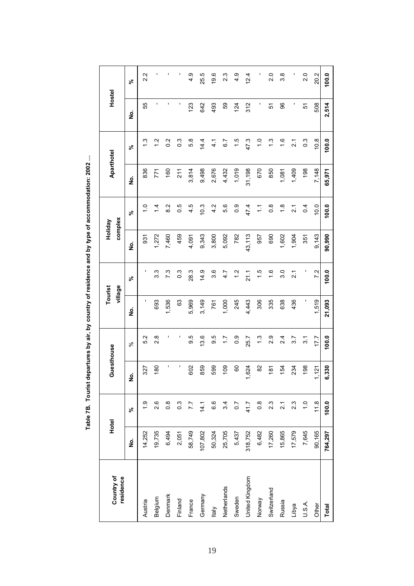| Country of<br>residence | Hotel   |                   | Guesthouse          |                  | Tourist | village          | Holiday | complex          | Aparthotel |                   | Hostel |        |
|-------------------------|---------|-------------------|---------------------|------------------|---------|------------------|---------|------------------|------------|-------------------|--------|--------|
|                         | ş       | వి                | <u>ş</u>            | వి               | ş       | వ్               | ş       | న్               | ş          | వి                | ş      | వి     |
| Austria                 | 14,252  | $\ddot{6}$        | 327                 | 5.2              | ٠       |                  | 931     | $\frac{0}{1}$    | 836        | $\frac{3}{2}$     | 55     | 2.2    |
| Belgium                 | 19,735  | 2.6               | 180                 | $\frac{8}{2}$    | 693     | 3.3              | 1,272   | $\frac{4}{4}$    | 771        | $\frac{2}{1}$     |        |        |
| Denmark                 | 6,494   | $0.\overline{8}$  | ı                   |                  | 1,536   | 7.3              | 7,460   | 8.2              | 160        | 0.2               |        |        |
| Finland                 | 2,051   | $0.\overline{3}$  | ı                   |                  | යි      | $0.\overline{3}$ | 459     | 0.5              | 211        | $\overline{0}$ .3 |        |        |
| France                  | 58,749  | 7.7               | 602                 | 9.5              | 5,969   | 28.3             | 4,091   | 4.5              | 3,814      | 5.8               | 123    | 4.9    |
| Germany                 | 107,802 | 14.1              | 859                 | 13.6             | 3,149   | 14.9             | 9,343   | 10.3             | 9,498      | 14.4              | 642    | 25.5   |
| ltaly                   | 50,324  | 6.6               | 599                 | 9.5              | 761     | 3.6              | 3,800   | 4.2              | 2,676      | $\frac{1}{4}$     | 493    | 19.6   |
| Netherlands             | 25,705  | 3.4               | 109                 | $\overline{1}$ : | 1,000   | 4.7              | 5,092   | 5.6              | 4,432      | 6.7               | S9     | 2.3    |
| Sweden                  | 5,437   | 0.7               | 8                   | 0.0              | 245     | $\frac{2}{3}$    | 782     | $0.\overline{9}$ | 1,019      | $\frac{5}{1}$     | 124    | ი<br>4 |
| United Kingdom          | 318,752 | 41.7              | 624                 | 25.7             | 4,443   | 21.1             | 43,113  | 47.4             | 31,198     | 47.3              | 312    | 12.4   |
| Norway                  | 6,482   | $0.\overline{8}$  | 82                  | $\frac{3}{1}$    | 306     | 1.5              | 957     | $\ddot{ }$       | 670        | $\frac{0}{1}$     |        |        |
| Switzerland             | 17,260  | 2.3               | $\overline{\infty}$ | 2.9              | 335     | 1.6              | 690     | $0.\overline{8}$ | 850        | $\frac{3}{2}$     | 5      | 2.0    |
| Russia                  | 15,865  | $\overline{21}$   | 154                 | 2.4              | 638     | 3.0              | 1,602   | $\frac{8}{1}$    | 1,081      | $\frac{6}{1}$     | 96     | 3.8    |
| Libya                   | 17,579  | 2.3               | 234                 | 3.7              | 436     | $\overline{2.1}$ | 1,904   | $\overline{2.1}$ | 1,409      | $\overline{2.1}$  |        |        |
| U.S.A.                  | 7,645   | $\overline{1}$ .0 | 198                 | $\overline{3.1}$ | ı       |                  | 351     | $\overline{0}$   | 198        | $0.\overline{3}$  | 57     | 2.0    |
| Other                   | 90,165  | 11.8              | 121                 | 7.7              | 1,519   | 7.2              | 9,143   | 10.0             | 7,148      | 10.8              | 508    | 20.2   |
| Total                   | 764,297 | 100.0             | 6,330               | 100.0            | 21,093  | 100.0            | 90,990  | 100.0            | 65,971     | 100.0             | 2,514  | 100.0  |

Table 7B. Tourist departures by air, by country of residence and by type of accommodation: 2002 ... **Table 7B. Tourist departures by air, by country of residence and by type of accommodation: 2002 …**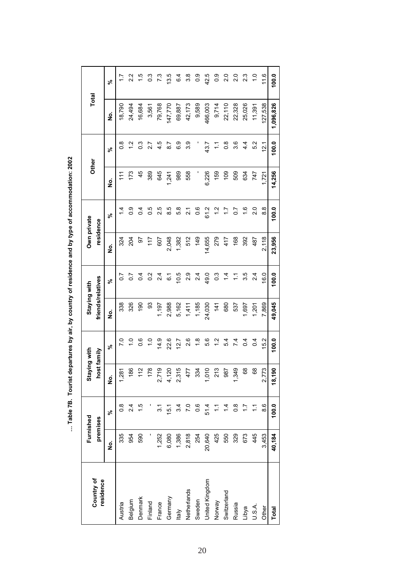|                         |        | Furnished         | Staying with          |                  | Staying with      |                  | Own private |               |                |                 |           |               |
|-------------------------|--------|-------------------|-----------------------|------------------|-------------------|------------------|-------------|---------------|----------------|-----------------|-----------|---------------|
| Country of<br>residence |        | premises          | host family           |                  | friends/relatives |                  | residence   |               | Other          |                 | Total     |               |
|                         | ş      | వ్                | ş                     | వ్               | ş                 | వ్               | ş           | వ్            | ş              | వి              | ż         | వి            |
| Austria                 | 335    | $\frac{8}{2}$     | 281                   | $\overline{C}$   | 338               | $\overline{0.7}$ | 324         |               | $\frac{1}{11}$ | $\frac{8}{1}$   | 18,790    |               |
| Belgium                 | 954    | 2.4               | 186                   | $\frac{0}{\tau}$ | 326               | $\overline{0.7}$ | 204         | 0.9           | 173            |                 | 24,494    | $\frac{2}{2}$ |
| Denmark                 | 590    | $\frac{5}{1}$     | 112                   | 0.6              | 190               | $\overline{0.4}$ | 5           | 0.4           | 45             | <u>ვ</u>        | 16,684    | <u>ي</u><br>– |
| Finland                 |        |                   | 178                   | $\frac{0}{1}$    | င္တ               | $\overline{0.2}$ | 117         | 0.5           | 389            | 21              | 3,561     | ိ             |
| France                  | 1,252  | <br>თ             | 719<br>Ñ              | 14.9             | 1,197             | 2.4              | 607         | 2.5           | 645            | 4.5             | 79,768    | ~<br>7        |
| Germany                 | 6,080  | 15.1              | 120<br>$\overline{4}$ | 22.6             | 2,988             | 61               | 2,048       | 8.5           | 1,241          | 2<br>8          | 147,770   | 13.5          |
| Italy                   | 1,386  | 3.4               | 315<br>$\mathbf{a}$   | 12.7             | 5,162             | 10.5             | 1,382       | 5.8           | 989            | င့်             | 69,887    | 6.4           |
| Netherlands             | 2,818  | $\overline{7}$ .0 | 477                   | 2.6              | 1,411             | 2.9              | 512         | $\frac{1}{2}$ | 558            | 33              | 42,173    | 3.8           |
| Sweden                  | 254    | $0.\overline{6}$  | 334                   | 1.8              | 1,185             | 24               | 149         | 0.6           |                |                 | 9,589     | <u>၀</u>      |
| United Kingdom          | 20,640 | 51.4              | $\frac{0}{2}$         | 5.6              | 24,030            | 49.0             | 14,655      | 61.2          | 6,226          | 43.7            | 466,003   | 42.5          |
| Norway                  | 425    | Ξ                 | 213                   | $\frac{2}{1}$    | 141               | $0.\overline{3}$ | 279         | $\frac{2}{1}$ | 159            | Ξ               | 9,714     | $\frac{0}{2}$ |
| Switzerland             | 550    | $\frac{4}{3}$     | 987                   | 5.4              | 680               | $\frac{4}{4}$    | 417         | Ξ             | $\frac{60}{3}$ | $\frac{8}{2}$   | 22,110    | $\frac{0}{2}$ |
| Russia                  | 329    | $0.\overline{8}$  | 349                   | 7.4              | 537               | Ξ                | 168         | $\frac{2}{3}$ | 509            | ვ<br>ვ          | 22,328    | $\frac{0}{2}$ |
| Libya                   | 673    | 17                | 68                    | 0.4              | 1,697             | 3.5              | 392         | $\frac{6}{1}$ | 634            | $4\overline{4}$ | 25,026    | 23            |
| U.S.A.                  | 445    | 든                 | 89                    | $\overline{0}$   | 1,201             | $2\overline{4}$  | 487         | 2.0           | 747            | 5.2             | 11,391    | $\frac{0}{1}$ |
| Other                   | 3,453  | 8.6               | ,773<br>Ñ             | 15.2             | 7,869             | 16.0             | 2,118       | $\frac{8}{8}$ | 1,721          | $\frac{21}{2}$  | 127,538   | 11.6          |
| <b>Total</b>            | 40,184 | 100.0             | 18,190                | 100.0            | 49,045            | 100.0            | 23,956      | 100.0         | 14,256         | 100.0           | 1,096,826 | 100.0         |

... Table 7B. Tourist departures by air, by country of residence and by type of accommodation: 2002 **… Table 7B. Tourist departures by air, by country of residence and by type of accommodation: 2002**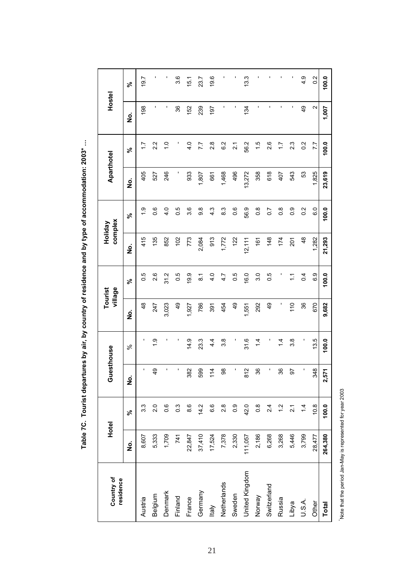| Country of<br>residence | Hotel   |                  | Guesthouse              |               |                    | village<br>Tourist | Holiday            | complex           | Aparthotel         |                   | Hostel            |               |
|-------------------------|---------|------------------|-------------------------|---------------|--------------------|--------------------|--------------------|-------------------|--------------------|-------------------|-------------------|---------------|
|                         | ġ       | వ్               | $\dot{\mathbf{o}}$<br>z | $\%$          | $\dot{\mathbf{z}}$ | వ్                 | $\dot{\mathbf{z}}$ | వ్                | $\dot{\mathbf{z}}$ | వ్                | ġ                 | వ్            |
| Austria                 | 8,607   | $3.\overline{3}$ | ı                       |               | $\frac{8}{4}$      | 0.5                | 415                | $\frac{0}{1}$     | 405                | $\ddot{ }$ :      | 198               | 19.7          |
| Belgium                 | 5,333   | 2.0              | $\frac{9}{4}$           | $\frac{0}{1}$ | 247                | 2.6                | 135                | 0.6               | 527                | 2.2               | ı                 |               |
| Denmark                 | 1,709   | 0.6              | ı                       |               | 3,023              | 31.2               | 852                | $\frac{4}{1}$     | 246                | $\frac{0}{1}$     | ٠                 |               |
| Finland                 | 741     | $0.\overline{3}$ | ı,                      |               | $\frac{9}{4}$      | 0.5                | 102                | 0.5               | ı                  |                   | 36                | 3.6           |
| France                  | 22,847  | 8.6              | 382                     | 14.9          | 1,927              | 9.9                | 773                | 3.6               | 933                | 4.0               | 152               | 15.1          |
| Germany                 | 37,410  | 14.2             | 599                     | 23.3          | 786                | $\overline{8}$ .   | 2,084              | 9.8               | 1,807              | 7.7               | 239               | 23.7          |
| ltaly                   | 17,524  | 6.6              | 114                     | 4.4           | 391                | 4.0                | 913                | $4.\overline{3}$  | 661                | $\frac{8}{2}$     | 197               | 19.6          |
| Netherlands             | 7,378   | $\frac{8}{2}$    | 98                      | 38            | 454                | 4.7                | 1,772              | 83                | 1,468              | 6.2               | ı                 |               |
| Sweden                  | 2,330   | $0.\overline{0}$ | $\mathbf{r}$            |               | $\frac{4}{9}$      | 0.5                | 122                | 0.6               | 496                | $\overline{2}$ .1 | ×,                |               |
| United Kingdom          | 111,057 | 42.0             | 812                     | 31.6          | 1,551              | 16.0               | 12, 111            | 56.9              | 13,272             | 56.2              | 134               | 13.3          |
| Norway                  | 2,186   | $\frac{8}{2}$    | 36                      | $\frac{1}{4}$ | 292                | 3.0                | 161                | $\frac{8}{2}$     | 358                | 1.5               | ı                 |               |
| Switzerland             | 6,268   | $2\overline{4}$  | ı                       |               | $\frac{1}{4}$      | 0.5                | 148                | $\overline{0.7}$  | 618                | 2.6               | ï                 |               |
| Russia                  | 3,268   | 1.2              | 36                      | $\frac{4}{4}$ | I                  |                    | 174                | $\frac{8}{2}$     | 407                | $\overline{11}$   | $\blacksquare$    |               |
| Libya                   | 5,446   | $\overline{2}$ . | 50                      | 3.8           | 110                | $\tilde{L}$        | 201                | $\frac{0}{2}$     | 543                | 2.3               | ×,                |               |
| U.S.A.                  | 3,799   | $1\overline{4}$  | ı                       |               | 36                 | 0.4                | $\frac{8}{4}$      | 0.2               | 53                 | 0.2               | $\frac{1}{4}$     | 4.9           |
| Other                   | 28,477  | 10.8             | 348                     | 13.5          | 670                | 6.9                | 1,282              | $\overline{6}$ .0 | 1,825              | 7.7               | $\mathbf{\Omega}$ | $\frac{2}{3}$ |
| <b>Total</b>            | 264,380 | 100.0            | 2,571                   | 100.0         | 9,682              | 100.0              | 21,293             | 100.0             | 23,619             | 100.0             | 1,007             | 100.0         |

Table 7C. Tourist departures by air, by country of residence and by type of accommodation: 2003\* ... **Table 7C. Tourist departures by air, by country of residence and by type of accommodation: 2003\* …**

Note that the period Jan-May is represented for year 2003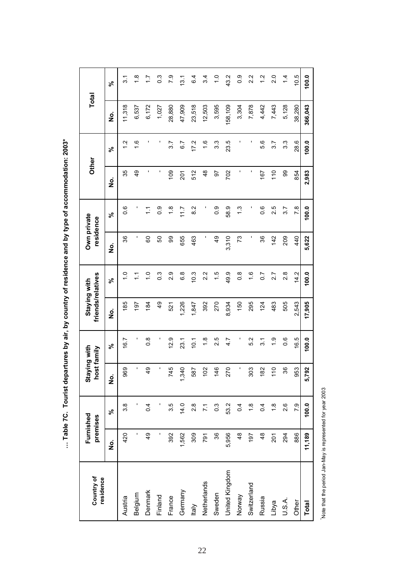| )<br>)<br>)                                          |
|------------------------------------------------------|
| <b>SACCES CONTRACTES</b>                             |
|                                                      |
| rtures by air, by country of residenc                |
|                                                      |
| $\frac{2}{5}$<br>.<br>,<br>۱<br>ا<br> <br> <br> <br> |

| Country of<br>residence | Furnished<br>premises |                  | Staying with<br>host family |                  | friends/relatives<br>Staying with |                    | Own private<br>residence |                 | Other            |               | Total   |                   |
|-------------------------|-----------------------|------------------|-----------------------------|------------------|-----------------------------------|--------------------|--------------------------|-----------------|------------------|---------------|---------|-------------------|
|                         | ġ                     | వ్               | ġ                           | ৼ৾               | ġ                                 | వ్                 | <u>o</u><br>Z            | వ్              | ş                | న్            | ġ       | న్                |
| Austria                 | 420                   | 3.8              | 969                         | 16.7             | 185                               | $\frac{0}{1}$      | 36                       | o.o             | 35               | $\frac{2}{1}$ | 11,318  | $\overline{3}$ .  |
| Belgium                 |                       |                  | ı                           | ı                | 197                               | $\overline{\cdot}$ | ı                        |                 | 49               | $\frac{6}{1}$ | 6,537   | $\frac{8}{1}$     |
| Denmark                 | QÞ                    | $\overline{0.4}$ | 49                          | 8.O              | 184                               | $\frac{0}{1}$      | 8                        | $\tilde{\cdot}$ |                  |               | 6,172   | $\ddot{ }$ :      |
| Finland                 |                       |                  | I                           |                  | $\frac{6}{7}$                     | $\overline{0}$ .3  | 50                       | $\frac{0}{2}$   |                  |               | 1,027   | $\overline{0}$ .3 |
| France                  | 392                   | 3.5              | 745                         | 12.9             | 521                               | 2.9                | 8                        | $\frac{8}{1}$   | 109              | 3.7           | 28,880  | 7.9               |
| Germany                 | 1,562                 | 14.0             | 340                         | 23.1             | 1,226                             | $\frac{8}{6}$      | 655                      | 11.7            | $\overline{201}$ | 6.7           | 47,909  | 13.1              |
| ltaly                   | 309                   | 2.8              | 587                         | 10.1             | 1,847                             | 10.3               | 463                      | 82              | 512              | 17.2          | 23,518  | 6.4               |
| Netherlands             | 791                   | $\overline{71}$  | 102                         | $\frac{8}{1}$    | 392                               | 2.2                | ı                        |                 | $\frac{8}{4}$    | $\frac{6}{1}$ | 12,503  | 3.4               |
| Sweden                  | 36                    | $0.\overline{3}$ | 146                         | 2.5              | 270                               | $\frac{5}{1}$      | $\frac{49}{5}$           | $\frac{0}{2}$   | 56               | 3.3           | 3,595   | $\frac{0}{1}$     |
| United Kingdom          | 5,956                 | 53.2             | 270                         | 4.7              | 8,934                             | 49.9               | 3,310                    | 58.9            | 702              | 23.5          | 158,109 | 43.2              |
| Norway                  | 48                    | 0.4              | I                           |                  | 150                               | $\frac{8}{2}$      | 73                       | $\frac{3}{2}$   |                  |               | 3,304   | $\frac{0}{2}$     |
| Switzerland             | 197                   | $\frac{8}{1}$    | 303                         | 5.2              | 295                               | $\frac{6}{1}$      | ı                        |                 |                  |               | 7,878   | 2.2               |
| Russia                  | $\frac{8}{3}$         | 0.4              | 182                         | $\overline{3}$ . | 124                               | $\overline{0}$     | 36                       | 0.6             | 167              | 5.6           | 4,442   | 1.2               |
| Libya                   | 201                   | $\frac{8}{1}$    | $\frac{0}{1}$               | $\ddot{0}$       | 483                               | 2.7                | 142                      | 2.5             | 110              | 3.7           | 7,443   | 2.0               |
| U.S.A.                  | 294                   | 2.6              | 36                          | $0.\overline{6}$ | 505                               | 2.8                | 209                      | 3.7             | 99               | 3.3           | 5,128   | $\overline{4}$    |
| Other                   | 886                   | 7.9              | 953                         | 16.5             | 2,543                             | 14.2               | 440                      | 7.8             | 854              | 28.6          | 38,280  | 10.5              |
| Total                   | 11,189                | 100.0            | 5,792                       | 100.0            | 17,905                            | 100.0              | 5,622                    | 100.0           | 2,983            | 100.0         | 366,043 | 100.0             |

Note that the period Jan-May is represented for year 2003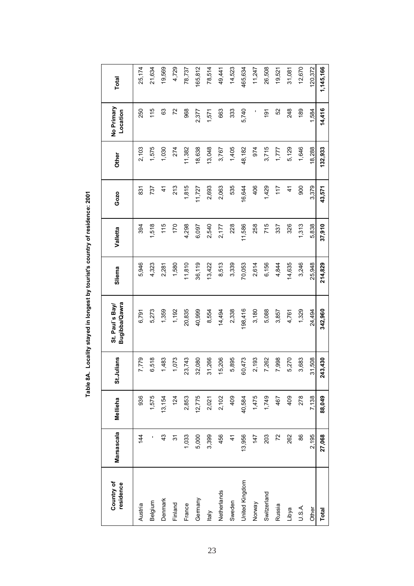| Country of<br>residence | Marsascala    | Mellieha | St.Julians | Bugibba/Qawra<br>St. Paul's Bay | Sliema  | Valletta | Gozo          | Other   | No Primary<br>Location | Total     |
|-------------------------|---------------|----------|------------|---------------------------------|---------|----------|---------------|---------|------------------------|-----------|
| Austria                 | 144           | 936      | 7,779      | 6,791                           | 5,946   | 394      | 831           | 2,103   | 250                    | 25,174    |
| Belgium                 |               | 1,575    | 6,518      | 5,273                           | 4,323   | 1,518    | 737           | 1,575   | 115                    | 21,634    |
| Denmark                 | $\frac{3}{4}$ | 13,154   | 1,483      | 1,359                           | 2,281   | 115      | $\frac{4}{3}$ | 1,030   | 83                     | 19,569    |
| Finland                 | 94            | 124      | 1,073      | 1,192                           | 1,580   | 170      | 213           | 274     | 72                     | 4,729     |
| France                  | 1,033         | 2,853    | 23,743     | 20,835                          | 11,810  | 4,298    | 1,815         | 11,382  | 968                    | 78,737    |
| Germany                 | 5,000         | 12,775   | 32,080     | 40,999                          | 36,119  | 6,097    | 11,727        | 18,638  | 2,377                  | 165,812   |
| <b>Italy</b>            | 3,399         | 2,021    | 31,266     | 8,554                           | 13,422  | 2,540    | 2,693         | 13,048  | 1,571                  | 78,514    |
| Netherlands             | 456           | 2,102    | 15,206     | 14,494                          | 8,513   | 2,177    | 2,063         | 3,767   | 663                    | 49,441    |
| Sweden                  | $\frac{4}{3}$ | 409      | 5,895      | 2,338                           | 3,339   | 228      | 535           | 1,405   | 333                    | 14,523    |
| United Kingdom          | 13,956        | 40,584   | 60,473     | 198,416                         | 70,053  | 11,586   | 16,644        | 48,182  | 5,740                  | 465,634   |
| Norway                  | 147           | 1,475    | 2,193      | 3,180                           | 2,614   | 258      | 406           | 974     |                        | 11,247    |
| Switzerland             | 203           | 1,749    | 7,262      | 5,088                           | 6,156   | 715      | 1,429         | 3,715   | 191                    | 26,508    |
| Russia                  | 72            | 467      | 7,998      | 3,857                           | 4,844   | 337      | 117           | 1,777   | 52                     | 19,521    |
| Libya                   | 262           | 409      | 5,270      | 4,761                           | 14,635  | 326      | $\frac{4}{3}$ | 5,129   | 248                    | 31,081    |
| U.S.A.                  | 86            | 278      | 3,683      | 1,329                           | 3,246   | 1,313    | 900           | 1,646   | 189                    | 12,670    |
| Other                   | 2,195         | 7,138    | 31,508     | 24,494                          | 25,948  | 5,838    | 3,379         | 18,288  | 1.584                  | 120,372   |
| Total                   | 27,068        | 88,049   | 243,430    | 342,960                         | 214,829 | 37,910   | 43,571        | 132,933 | 14,416                 | 1,145,166 |

Table 8A. Locality stayed in longest by tourist's country of residence: 2001 **Table 8A. Locality stayed in longest by tourist's country of residence: 2001**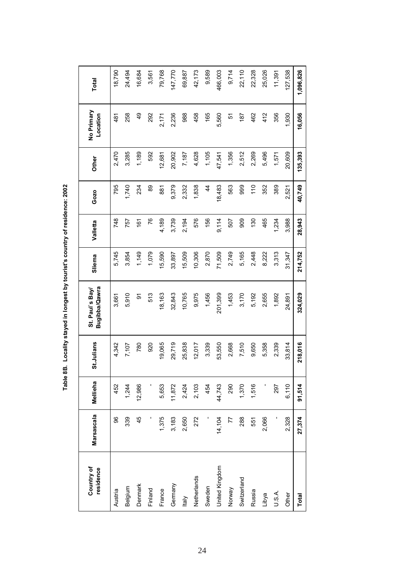| Country of<br>residence | Marsascala | Mellieha | St.Julians | Bugibba/Qawra<br>St. Paul's Bay | Sliema  | Valletta | Gozo          | Other   | No Primary<br>Location | <b>Total</b> |
|-------------------------|------------|----------|------------|---------------------------------|---------|----------|---------------|---------|------------------------|--------------|
| Austria                 | 96         | 452      | 4,342      | 3,661                           | 5,745   | 748      | 795           | 2,470   | 481                    | 18,790       |
| Belgium                 | 339        | 1,244    | 7,107      | 5,910                           | 3,854   | 757      | 1,740         | 3,285   | 258                    | 24,494       |
| Denmark                 | 45         | 12,986   | 780        | 5                               | 1,149   | 161      | 234           | 1,189   | $\frac{9}{4}$          | 16,684       |
| Finland                 |            |          | 920        | 513                             | 1,079   | 76       | 89            | 592     | 292                    | 3,561        |
| France                  | 1,375      | 5,653    | 19,065     | 18,163                          | 15,590  | 4,189    | 881           | 12,681  | 2,171                  | 79,768       |
| Germany                 | 3,183      | 11,872   | 29,719     | 32,843                          | 33,897  | 3,739    | 9,379         | 20,902  | 2,236                  | 147,770      |
| <b>Italy</b>            | 2,650      | 2,424    | 25,838     | 10,765                          | 15,509  | 2,194    | 2,332         | 7,187   | 988                    | 69,887       |
| Netherlands             | 272        | 2,103    | 12,017     | 9,975                           | 10,306  | 576      | 1,838         | 4,628   | 458                    | 42,173       |
| Sweden                  |            | 454      | 3,339      | 1,456                           | 2,870   | 156      | $\frac{4}{3}$ | 1,105   | 165                    | 9,589        |
| United Kingdom          | 14,104     | 44,743   | 53,550     | 201,399                         | 71,509  | 9,114    | 18,483        | 47,541  | 5,560                  | 466,003      |
| Norway                  | 77         | 290      | 2,668      | 1,453                           | 2,749   | 507      | 563           | 1,356   | 5                      | 9,714        |
| Switzerland             | 288        | 1,370    | 7,510      | 3,170                           | 5,165   | 909      | 999           | 2,512   | 187                    | 22,110       |
| Russia                  | 551        | 1,516    | 9,650      | 5,192                           | 2,448   | 130      | 110           | 2,269   | 462                    | 22,328       |
| Libya                   | 2,066      |          | 5,358      | 2,655                           | 8,222   | 465      | 352           | 5,496   | 412                    | 25,026       |
| U.S.A.                  |            | 297      | 2,339      | 1,892                           | 3,313   | 1,234    | 389           | 1,571   | 356                    | 11,391       |
| Other                   | 2,328      | 6,110    | 33,814     | 24,891                          | 31,347  | 3,988    | 2,521         | 20,609  | 1,930                  | 127,538      |
| Total                   | 27,374     | 91,514   | 218,016    | 324,029                         | 214,752 | 28,943   | 40,749        | 135,393 | 16,056                 | 1,096,826    |

Table 8B. Locality stayed in longest by tourist's country of residence: 2002 **Table 8B. Locality stayed in longest by tourist's country of residence: 2002**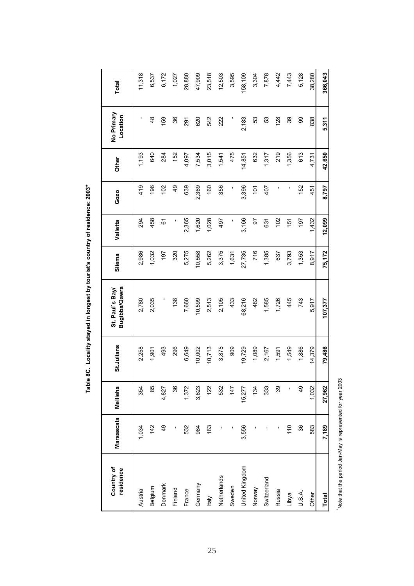| Country of<br>residence | Marsascala    | Mellieha      | St.Julians | Bugibba/Qawra<br>St. Paul's Bay | Sliema | Valletta | Gozo           | Other  | No Primary<br>Location | Total   |
|-------------------------|---------------|---------------|------------|---------------------------------|--------|----------|----------------|--------|------------------------|---------|
| Austria                 | 1,034         | 354           | 2,258      | 2,780                           | 2,986  | 294      | 419            | 1,193  | ı                      | 11,318  |
| Belgium                 | 142           | 85            | 1,901      | 2,035                           | 1,032  | 458      | 196            | 640    | 48                     | 6,537   |
| Denmark                 | $\frac{4}{9}$ | 4,827         | 493        | I                               | 197    | 6        | 102            | 284    | 159                    | 6,172   |
| Finland                 |               | 36            | 296        | 138                             | 320    | ı        | $\frac{4}{9}$  | 152    | 36                     | 1,027   |
| France                  | 532           | 1,372         | 6,649      | 7,660                           | 5,275  | 2,365    | 639            | 4,097  | 291                    | 28,880  |
| Germany                 | 984           | 3,623         | 10,002     | 10,599                          | 10,558 | 1,620    | 2,369          | 7,534  | 620                    | 47,909  |
| ltaly                   | 163           | 122           | 10,713     | 2,513                           | 5,262  | 1,028    | 160            | 3,015  | 542                    | 23,518  |
| Netherlands             |               | 532           | 3,875      | 2,105                           | 3,375  | 497      | 356            | 1,541  | 222                    | 12,503  |
| Sweden                  |               | 147           | 909        | 433                             | 1,631  | ı        | ı              | 475    |                        | 3,595   |
| United Kingdom          | 3,556         | 15,277        | 19,729     | 68,216                          | 27,735 | 3,166    | 3,396          | 14,851 | 2,183                  | 158,109 |
| Norway                  |               | 134           | 1,089      | 482                             | 716    | 50       | $\overline{5}$ | 632    | 53                     | 3,304   |
| Switzerland             |               | 333           | 2,167      | 1,585                           | 1,385  | 631      | 407            | 1,317  | S3                     | 7,878   |
| Russia                  |               | 39            | 1,591      | 1,726                           | 637    | 102      | ı              | 219    | 128                    | 4,442   |
| Libya                   | 110           | ı             | 1,549      | 445                             | 3,793  | 151      | ı              | 1,356  | 39                     | 7,443   |
| U.S.A.                  | 36            | $\frac{4}{9}$ | 1,886      | 743                             | 1,353  | 197      | 152            | 613    | 8                      | 5,128   |
| Other                   | 583           | 1,032         | 14,379     | 5,917                           | 8,917  | 1,432    | 451            | 4,731  | 838                    | 38,280  |
| <b>Total</b>            | 7,189         | 27,962        | 79,486     | 107,377                         | 75,172 | 12,099   | 8,797          | 42,650 | 5.311                  | 366,043 |

Table 8C. Locality stayed in longest by tourist's country of residence: 2003\* **Table 8C. Locality stayed in longest by tourist's country of residence: 2003\***

Note that the period Jan-May is represented for year 2003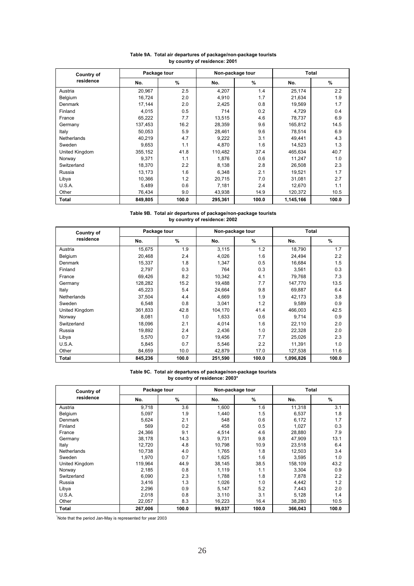| Country of     |         | Package tour |         | Non-package tour |           | <b>Total</b> |
|----------------|---------|--------------|---------|------------------|-----------|--------------|
| residence      | No.     | %            | No.     | %                | No.       | %            |
| Austria        | 20,967  | 2.5          | 4,207   | 1.4              | 25,174    | 2.2          |
| <b>Belgium</b> | 16,724  | 2.0          | 4,910   | 1.7              | 21,634    | 1.9          |
| Denmark        | 17,144  | 2.0          | 2,425   | 0.8              | 19,569    | 1.7          |
| Finland        | 4,015   | 0.5          | 714     | 0.2              | 4,729     | 0.4          |
| France         | 65,222  | 7.7          | 13,515  | 4.6              | 78,737    | 6.9          |
| Germany        | 137,453 | 16.2         | 28,359  | 9.6              | 165,812   | 14.5         |
| Italy          | 50.053  | 5.9          | 28,461  | 9.6              | 78,514    | 6.9          |
| Netherlands    | 40,219  | 4.7          | 9,222   | 3.1              | 49,441    | 4.3          |
| Sweden         | 9,653   | 1.1          | 4,870   | 1.6              | 14,523    | 1.3          |
| United Kingdom | 355,152 | 41.8         | 110.482 | 37.4             | 465.634   | 40.7         |
| Norway         | 9.371   | 1.1          | 1.876   | 0.6              | 11,247    | 1.0          |
| Switzerland    | 18,370  | 2.2          | 8,138   | 2.8              | 26,508    | 2.3          |
| Russia         | 13,173  | 1.6          | 6,348   | 2.1              | 19,521    | 1.7          |
| Libya          | 10,366  | 1.2          | 20.715  | 7.0              | 31,081    | 2.7          |
| U.S.A.         | 5,489   | 0.6          | 7,181   | 2.4              | 12,670    | 1.1          |
| Other          | 76,434  | 9.0          | 43,938  | 14.9             | 120,372   | 10.5         |
| Total          | 849,805 | 100.0        | 295,361 | 100.0            | 1,145,166 | 100.0        |

## **Table 9A. Total air departures of package/non-package tourists by country of residence: 2001**

**Table 9B. Total air departures of package/non-package tourists by country of residence: 2002**

| Country of     | Package tour |       |         | Non-package tour |           | Total |
|----------------|--------------|-------|---------|------------------|-----------|-------|
| residence      | No.          | %     | No.     | $\%$             | No.       | %     |
| Austria        | 15,675       | 1.9   | 3,115   | 1.2              | 18,790    | 1.7   |
| Belgium        | 20,468       | 2.4   | 4,026   | 1.6              | 24,494    | 2.2   |
| <b>Denmark</b> | 15,337       | 1.8   | 1,347   | 0.5              | 16,684    | 1.5   |
| Finland        | 2,797        | 0.3   | 764     | 0.3              | 3,561     | 0.3   |
| France         | 69,426       | 8.2   | 10,342  | 4.1              | 79,768    | 7.3   |
| Germany        | 128,282      | 15.2  | 19,488  | 7.7              | 147,770   | 13.5  |
| Italy          | 45,223       | 5.4   | 24,664  | 9.8              | 69,887    | 6.4   |
| Netherlands    | 37,504       | 4.4   | 4,669   | 1.9              | 42,173    | 3.8   |
| Sweden         | 6,548        | 0.8   | 3,041   | 1.2              | 9,589     | 0.9   |
| United Kingdom | 361,833      | 42.8  | 104,170 | 41.4             | 466,003   | 42.5  |
| Norway         | 8,081        | 1.0   | 1,633   | 0.6              | 9,714     | 0.9   |
| Switzerland    | 18,096       | 2.1   | 4,014   | 1.6              | 22,110    | 2.0   |
| Russia         | 19,892       | 2.4   | 2,436   | 1.0              | 22,328    | 2.0   |
| Libya          | 5,570        | 0.7   | 19,456  | 7.7              | 25,026    | 2.3   |
| U.S.A.         | 5,845        | 0.7   | 5,546   | 2.2              | 11,391    | 1.0   |
| Other          | 84,659       | 10.0  | 42,879  | 17.0             | 127,538   | 11.6  |
| <b>Total</b>   | 845,236      | 100.0 | 251,590 | 100.0            | 1,096,826 | 100.0 |

## **Table 9C. Total air departures of package/non-package tourists by country of residence: 2003\***

| Country of     | Package tour |       |        | Non-package tour |         | Total |
|----------------|--------------|-------|--------|------------------|---------|-------|
| residence      | No.          | $\%$  | No.    | $\%$             | No.     | %     |
| Austria        | 9,718        | 3.6   | 1,600  | 1.6              | 11,318  | 3.1   |
| Belgium        | 5,097        | 1.9   | 1,440  | 1.5              | 6,537   | 1.8   |
| Denmark        | 5,624        | 2.1   | 548    | 0.6              | 6,172   | 1.7   |
| Finland        | 569          | 0.2   | 458    | 0.5              | 1,027   | 0.3   |
| France         | 24,366       | 9.1   | 4,514  | 4.6              | 28,880  | 7.9   |
| Germany        | 38,178       | 14.3  | 9.731  | 9.8              | 47.909  | 13.1  |
| Italy          | 12.720       | 4.8   | 10.798 | 10.9             | 23.518  | 6.4   |
| Netherlands    | 10.738       | 4.0   | 1.765  | 1.8              | 12.503  | 3.4   |
| Sweden         | 1.970        | 0.7   | 1,625  | 1.6              | 3,595   | 1.0   |
| United Kingdom | 119,964      | 44.9  | 38.145 | 38.5             | 158,109 | 43.2  |
| Norway         | 2,185        | 0.8   | 1,119  | 1.1              | 3.304   | 0.9   |
| Switzerland    | 6,090        | 2.3   | 1.788  | 1.8              | 7,878   | 2.2   |
| Russia         | 3,416        | 1.3   | 1,026  | 1.0              | 4,442   | 1.2   |
| Libya          | 2,296        | 0.9   | 5,147  | 5.2              | 7,443   | 2.0   |
| U.S.A.         | 2,018        | 0.8   | 3,110  | 3.1              | 5,128   | 1.4   |
| Other          | 22,057       | 8.3   | 16,223 | 16.4             | 38,280  | 10.5  |
| <b>Total</b>   | 267,006      | 100.0 | 99,037 | 100.0            | 366,043 | 100.0 |

\* Note that the period Jan-May is represented for year 2003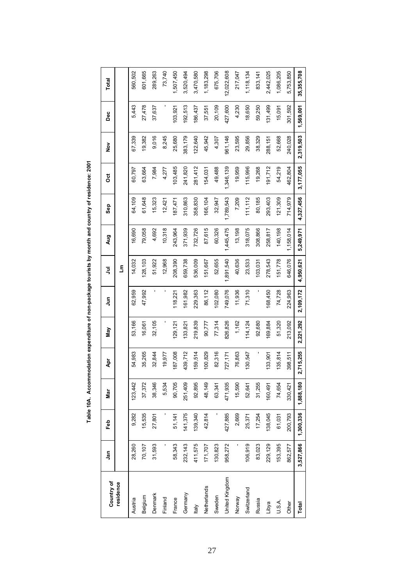| Country of     | <u>ក្នុ</u> | Feb       | Mar       | Apr       | Nay       | $\tilde{z}$ | ξ         | Aug       | Sep       | ö         | $\frac{5}{2}$ | ەم<br>م   | Total      |
|----------------|-------------|-----------|-----------|-----------|-----------|-------------|-----------|-----------|-----------|-----------|---------------|-----------|------------|
| residence      |             |           |           |           |           |             | Ε         |           |           |           |               |           |            |
| Austria        | 28,260      | 9,282     | 123,442   | 54,983    | 53,166    | 62,959      | 14,032    | 16,690    | 64,109    | 60,797    | 67,339        | 5,443     | 560,502    |
| Belgium        | 70,107      | 15,535    | 37,372    | 35,265    | 16,061    | 47,992      | 128,103   | 79,058    | 61,648    | 63,664    | 19,382        | 27,478    | 601,665    |
| Denmark        | 31,593      | 27,801    | 38,346    | 32,844    | 32,105    |             | 51,922    | 4,692     | 15,323    | 7,984     | 9,016         | 37,637    | 289,263    |
| Finland        | ı           |           | 5,534     | 19,977    |           | ı           | 12,968    | 10,318    | 12,421    | 4,277     | 8,245         |           | 73,740     |
| France         | 58,343      | 51,141    | 90,705    | 87,008    | 129,121   | 118,221     | 208,390   | 243,964   | 187,471   | 103,485   | 25,680        | 103,921   | ,507,450   |
| Germany        | 232,143     | 141,375   | 251,409   | 439,712   | 133,821   | 161,982     | 659,738   | 371,939   | 310,863   | 241,820   | 383,179       | 192,513   | 3,520,494  |
| <b>Italy</b>   | 411,575     | 139,340   | 92,895    | 59,514    | 219,839   | 229,363     | 536,009   | 732,726   | 358,830   | 281,412   | 122,640       | 186,437   | 3,470,580  |
| Netherlands    | 171,707     | 42,814    | 48,149    | 100,829   | 90,777    | 86,112      | 151,667   | 87,615    | 166,104   | 154,031   | 45,942        | 37,551    | 1,183,298  |
| Sweden         | 130,823     |           | 63,341    | 82,316    | 77,314    | 102,080     | 52,655    | 60,326    | 32,947    | 49,488    | 4,307         | 20,109    | 675,706    |
| United Kingdom | 958,272     | 427,885   | 471,935   | 727,171   | 826,826   | 749,076     | 1,891,540 | 1,445,475 | 1,789,543 | 1,346,139 | 961,146       | 427,600   | 12,022,608 |
| Norway         |             | 2,669     | 15,590    | 76,863    | 1,162     | 11,936      | 40,636    | 13,198    | 7,209     | 19,959    | 23,595        | 4,230     | 217,047    |
| Switzerland    | 106,919     | 25,371    | 52,641    | 130,547   | 114,124   | 71,310      | 23,533    | 318,075   | 111,112   | 115,996   | 29,856        | 18,650    | 1,118,134  |
| Russia         | 83,023      | 17,254    | 31,255    |           | 92,680    |             | 103,031   | 308,866   | 80,185    | 19,268    | 38,329        | 59,250    | 833, 141   |
| Libya          | 229,129     | 138,045   | 160,491   | 133,901   | 69,884    | 168,450     | 278,543   | 258,817   | 293,403   | 91,712    | 288,151       | 131,499   | 2,442,025  |
| U.S.A.         | 153,395     | 61,031    | 74,654    | 135,814   | 51,320    | 74,728      | 51,778    | 140,198   | 121,309   | 54,219    | 52,668        | 15,091    | 1,086,205  |
| Other          | 862,577     | 200,793   | 330,421   | 398,511   | 213,092   | 224,963     | 646,076   | 1,158,014 | 714,979   | 462,804   | 240,028       | 301,592   | 5,753,850  |
| Total          | 3,527,866   | 1,300,336 | 1,888,180 | 2,715,255 | 2,221,292 | 2,109,172   | 4,950,621 | 5,249,971 | 4,327,456 | 3,177,055 | 2,319,503     | 1,569,001 | 35,355,708 |

Table 10A. Accommodation expenditure of non-package tourists by month and country of residence: 2001 **Table 10A. Accommodation expenditure of non-package tourists by month and country of residence: 2001**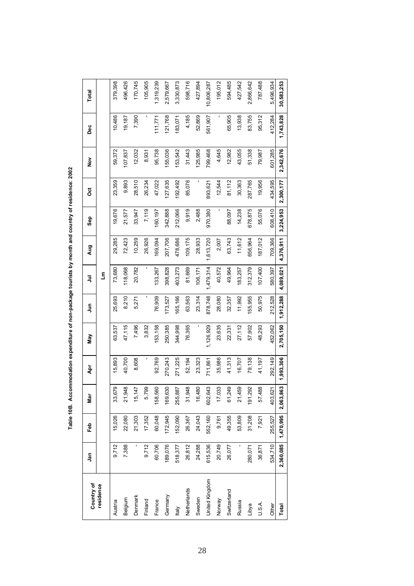Table 10B. Accommodation expenditure of non-package tourists by month and country of residence: 2002 **Table 10B. Accommodation expenditure of non-package tourists by month and country of residence: 2002**

| Country of     | <u>ក្នុ</u> | Feb       | Nar                      | Åpr       | Vay       | S<br>Jun  | ミ         | Aug       | Sep       | ğ         | $\frac{5}{2}$ | Dec       | Total      |
|----------------|-------------|-----------|--------------------------|-----------|-----------|-----------|-----------|-----------|-----------|-----------|---------------|-----------|------------|
| residence      |             |           |                          |           |           |           | ع<br>گ    |           |           |           |               |           |            |
| Austria        | 9,712       | 15,026    | တ<br>33,67               | 5,893     | 63,537    | 25,693    | 73,680    | 29,285    | 19,676    | 23,359    | 59,372        | 10,486    | 379,398    |
| Belgium        | 7,388       | 22,080    | $\infty$<br>21,94        | 40,700    | 47,115    | 8,210     | 118,068   | 72,423    | 21,577    | 9,893     | 107,837       | 19,187    | 496,426    |
| Denmark        |             | 21,303    | 15,147                   | 8,608     | 7,496     | 5,271     | 20,782    | 10,259    | 33,947    | 28,510    | 12,032        | 7,390     | 170,745    |
| Finland        | 9,712       | 17,352    | ⊚<br>5,79                |           | 3,832     | ı         |           | 26,926    | 7,119     | 26,234    | 8,931         |           | 105,905    |
| France         | 60,706      | 60,048    | 158,560                  | 92,769    | 53,158    | 76,909    | 133,267   | 169,094   | 160,197   | 47,022    | 95,738        | 11,771    | 1,319,239  |
| Germany        | 189,076     | 172,945   | 169,630                  | 270,243   | 250,385   | 173,527   | 398,828   | 207,706   | 342,888   | 127,635   | 55,036        | 121,768   | 2,579,667  |
| ltaly          | 518,377     | 152,090   | 255,887                  | 271,225   | 344,998   | 165,166   | 403,273   | 478,686   | 212,066   | 192,492   | 53,542        | 183,071   | 3,330,873  |
| Netherlands    | 26,812      | 26,367    | œ<br>31,94               | 52,194    | 76,365    | 63,563    | 81,669    | 09,175    | 9,919     | 85,076    | 31,443        | 4,185     | 598,716    |
| Sweden         | 24,288      | 24,043    | 16,480                   | 23,323    |           | 23,314    | 106,171   | 28,933    | 2,488     |           | 125,985       | 52,869    | 427,894    |
| United Kingdom | 615,536     | 552,160   | ო<br>602,64              | 711,861   | 1,126,929 | 878,748   | 1,479,314 | 1,613,720 | 970,380   | 893,621   | 799,468       | 561,907   | 10,806,287 |
| Norway         | 20,749      | 9,761     | ω<br>17,03               | 35,986    | 23,635    | 28,080    | 40,572    | 2,007     |           | 12,544    | 4,645         |           | 195,012    |
| Switzerland    | 26,077      | 49,355    | ၜ<br>61,24               | 41,313    | 22,331    | 32,357    | 49,964    | 63,743    | 88,097    | 81,112    | 12,982        | 65,905    | 594,485    |
| Russia         |             | 53,809    | တ<br>21,45               | 16,707    | 27,112    | 11,992    | 183,257   | 11,612    | 14,238    | 30,363    | 43,055        | 13,938    | 427,542    |
| Libya          | 280,071     | 31,208    | $\overline{C}$<br>191,29 | 79,138    | 57,902    | 55,955    | 312,379   | 656,964   | 678,875   | 287,765   | 51,338        | 83,755    | 2,866,642  |
| U.S.A.         | 36,871      | 7,921     | œ<br>57,48               | 41,197    | 48,293    | 50,975    | 107,400   | 187,012   | 55,076    | 19,956    | 79,987        | 95,312    | 787,488    |
| Other          | 534,710     | 255,527   | 403,621                  | 292,149   | 452,062   | 212,528   | 580,397   | 709,366   | 608,410   | 434,595   | 601,285       | 412,284   | 5,496,934  |
| Total          | 2,360,085   | 1,470,995 | 2,063,863                | 1,993,306 | 2,705,150 | 1,912,288 | 4,089,021 | 4,376,911 | 3,224,953 | 2,300,177 | 2,342,676     | 1,743,828 | 30,583,253 |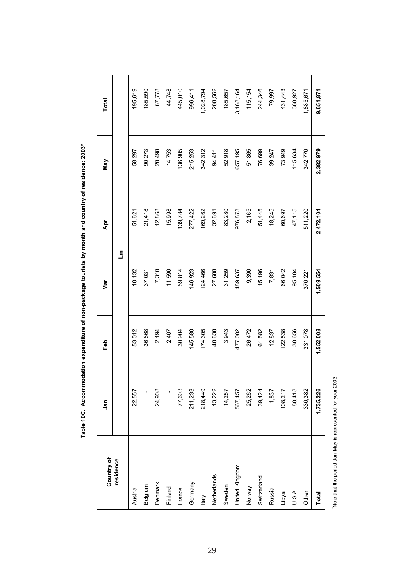| Country of     | Jan                      | Feb       | Mar       | Åpr       | Μaγ       | Total     |
|----------------|--------------------------|-----------|-----------|-----------|-----------|-----------|
| residence      |                          |           | E         |           |           |           |
| Austria        | 22,557                   | 53,012    | 10,132    | 51,621    | 58,297    | 195,619   |
| Belgium        | $\overline{\phantom{a}}$ | 36,868    | 37,031    | 21,418    | 90,273    | 185,590   |
| Denmark        | 24,908                   | 2,194     | 7,310     | 12,868    | 20,498    | 67,778    |
| Finland        |                          | 2,407     | 11,590    | 15,998    | 14,753    | 44,748    |
| France         | 77,603                   | 30,904    | 59,814    | 139,784   | 136,905   | 445,010   |
| Germany        | 211,233                  | 145,580   | 146,923   | 277,422   | 215,253   | 996,411   |
| <b>Italy</b>   | 218,449                  | 174,305   | 124,466   | 169,262   | 342,312   | 1,028,794 |
| Netherlands    | 13,222                   | 40,630    | 27,608    | 32,691    | 94,411    | 208,562   |
| Sweden         | 14,257                   | 3,943     | 31,259    | 83,280    | 52,918    | 185,657   |
| United Kingdom | 567,457                  | 477,002   | 489,637   | 976,873   | 657,195   | 3,168,164 |
| Norway         | 25,262                   | 26,472    | 9,390     | 2,165     | 51,865    | 115,154   |
| Switzerland    | 39,424                   | 61,582    | 15,196    | 51,445    | 76,699    | 244,346   |
| Russia         | 1,837                    | 12,837    | 7,831     | 18,245    | 39,247    | 79,997    |
| Libya          | 108,217                  | 122,538   | 66,042    | 60,697    | 73,949    | 431,443   |
| U.S.A.         | 80,418                   | 30,656    | 95,104    | 47,115    | 115,634   | 368,927   |
| Other          | 330,382                  | 331,078   | 370,221   | 511,220   | 342,770   | 1,885,671 |
| <b>Total</b>   | 1,735,226                | 1,552,008 | 1,509,554 | 2,472,104 | 2,382,979 | 9,651,871 |
|                |                          |           |           |           |           |           |

Table 10C. Accommodation expenditure of non-package tourists by month and country of residence: 2003\* **Table 10C. Accommodation expenditure of non-package tourists by month and country of residence: 2003\***

Note that the period Jan-May is represented for year 2003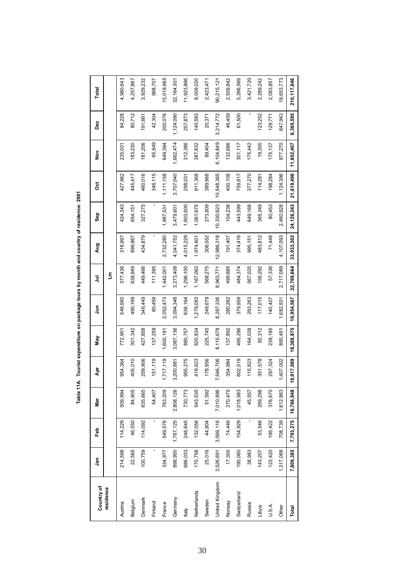| Country of | ۹n        | م<br>م    | <u>ोह</u>  | Ā          | Vay        | $\bar{5}$  | $\overline{5}$ | Aug        | Sep        | ğ          | $\frac{8}{2}$ | pec       | Total       |
|------------|-----------|-----------|------------|------------|------------|------------|----------------|------------|------------|------------|---------------|-----------|-------------|
|            |           |           |            |            |            |            | £              |            |            |            |               |           |             |
|            | 214,598   | 114,229   | 509,994    | 954,364    | 772,901    | 546,560    | 377,436        | 318,997    | 424,343    | 427,962    | 235,03        | 84,228    | 4,980,643   |
|            | 22,565    | 46,550    | 84,905     | 405,010    | 301,342    | 495,169    | 638,949        | 899,867    | 654,151    | 445,417    | 183,230       | 80,712    | 4,257,867   |
|            | 100,759   | 114,092   | 635,665    | 259,906    | 427,858    | 346,449    | 449,466        | 434,879    | 327,275    | 460,016    | 81,206        | 191,661   | 3,929,232   |
|            |           |           | 54,407     | 151,119    | 137,259    | 60,459     | 111,395        |            |            | 346,115    | 65,649        | 42,304    | 968,707     |
|            | 334,977   | 549,576   | 763,209    | 1,717,119  | 1,600,191  | 2,052,473  | 1,442,001      | 2,732,280  | 1,867,531  | 1,111,158  | 649,394       | 200,076   | 5,019,985   |
|            | 898,950   | 1,787,125 | 2,808,126  | 3,200,881  | 3,087,136  | 3,094,348  | 3,273,408      | 4,041,752  | 3,479,601  | 3,707,040  | 1,662,474     | 1,124,090 | 32,164,931  |
|            | 686,033   | 248,645   | 730,773    | 955,275    | 880,757    | 639,164    | 1,296,100      | 4,015,229  | 1,603,600  | 298,031    | 312,386       | 257,873   | 11,923,866  |
|            | 170,758   | 132,056   | 543,535    | 419,623    | 820,834    | 1,279,093  | 1,167,062      | 1,974,601  | 1,061,675  | 911,368    | 387,832       | 140,583   | 9,009,020   |
|            | 25,016    | 44,804    | 51,592     | 178,856    | 225,745    | 249,679    | 568,275        | 306,052    | 273,809    | 389,868    | 89,404        | 20,371    | 2,423,471   |
|            | 3,526,691 | 3,569,116 | 7,010,896  | 7,546,706  | 8,115,678  | 8,297,336  | 8,963,771      | 12,986,318 | 10,330,623 | 10,548,365 | 6,104,849     | 3,214,772 | 90,215,121  |
|            | 17,300    | 74,446    | 270,475    | 354,884    | 137,892    | 280,262    | 499,685        | 191,407    | 104,238    | 400,108    | 132,686       | 46,459    | 2,509,842   |
|            | 190,060   | 154,929   | 1,018,983  | 602,519    | 495,296    | 379,959    | 484,374        | 374,416    | 443,599    | 759,817    | 301,117       | 61,500    | 5,266,569   |
|            | 38,983    |           | 45,557     | 115,823    | 164,038    | 293,263    | 567,025        | 995,151    | 649,168    | 377,270    | 175,442       |           | 3,421,720   |
|            | 143,207   | 53,546    | 269,298    | 351,578    | 92,312     | 117,015    | 56,292         | 483,812    | 365,349    | 114,281    | 19,300        | 123,252   | 2,289,242   |
|            | 122,420   | 195,422   | 376,670    | 297,324    | 239,185    | 140,407    | 57,336         | 71,448     | 80,453     | 198,284    | 175,137       | 129,77    | 2,083,857   |
|            | 1,317,068 | 708,739   | 1,612,863  | 1,407,002  | 890,451    | 1,682,93   | 2,717,089      | 4,107,093  | 2,460,928  | 1,124,396  | 977,270       | 647,943   | 9,653,773   |
|            | 7,809,385 | 7,793,275 | 16,786,948 | 18,917,989 | 18,388,875 | 19,954,567 | 22,769,664     | 33,933,302 | 24,126,343 | 21,619,496 | 11,652,407    | 6,365,595 | 210,117,846 |
|            |           |           |            |            |            |            |                |            |            |            |               |           |             |

Table 11A. Tourist expenditure on package tours by month and country of residence: 2001 **Table 11A. Tourist expenditure on package tours by month and country of residence: 2001**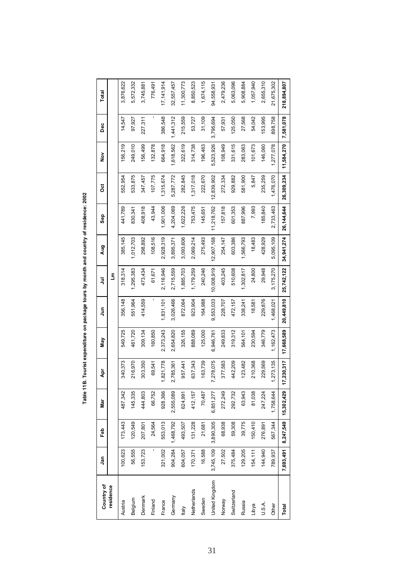| Country of     | ູ່ສຸດ     | Feb       | Nar        | ٩pr        | Vay          | $\bar{5}$  | $\bar{z}$  | Aug        | Sep        | ö          | $\frac{5}{2}$ | ەم<br>م   | Total       |
|----------------|-----------|-----------|------------|------------|--------------|------------|------------|------------|------------|------------|---------------|-----------|-------------|
| residence      |           |           |            |            |              |            | ξ          |            |            |            |               |           |             |
| Austria        | 100,623   | 173,443   | 487,342    | 340,373    | 549,725      | 356,148    | 318,314    | 385,145    | 441,789    | 552,954    | 56,219        | 14,547    | 3,876,622   |
| Belgium        | 56,555    | 120,549   | 145,335    | 216,970    | 461,720      | 551,964    | ,295,383   | ,012,703   | 830,341    | 533,875    | 249,010       | 97,927    | 5,572,332   |
| Denmark        | 153,723   | 207,801   | 444,803    | 303,350    | 309,134      | 414,559    | 473,434    | 298,892    | 408,918    | 347,457    | 156,499       | 227,311   | 3,745,881   |
| Finland        | ı         | 24,564    | 66,752     | 69,541     | 160,850      |            | 61,671     | 108,516    | 43,944     | 107,775    | 132,878       | ı         | 776,491     |
| France         | 321,002   | 553,013   | 928,366    | ,821,778   | 2,373,243    | 1,831,101  | 2,116,946  | 2,928,319  | 901,006    | ,315,674   | 664,918       | 386,548   | 17,141,914  |
| Germany        | 904,284   | 1,468,792 | 2,555,089  | 2,785,361  | 2,654,820    | 3,026,466  | 2,715,559  | 3,895,371  | 4.204.069  | 5,287,772  | ,618,562      | 1,441,312 | 32,557,457  |
| ltaly          | 604,057   | 493,507   | 624,991    | 957,441    | 326,155      | 872,064    | 1,885,703  | 3,093,606  | ,622,226   | 282,845    | 322,619       | 215,559   | 11,300,773  |
| Netherlands    | 170,371   | 131,228   | 412, 157   | 637,343    | 888,089      | 923,904    | 1,179,259  | 2,069,214  | 753,475    | ,317,018   | 314,738       | 53,727    | 8,850,523   |
| Sweden         | 16,588    | 21,681    | 70,487     | 163,739    | 125,000      | 164,988    | 240,246    | 275,493    | 145,651    | 222,670    | 196,463       | 31,109    | 1,674,115   |
| United Kingdom | 3,745,109 | 3,890,305 | 6,851,277  | 7,278,075  | 946,761<br>ق | 9,553,033  | 0,008,919  | 12,907,168 | 11,218,762 | 2,839,902  | 5,523,926     | 3,795,694 | 94,558,931  |
| Norway         | 27,502    | 68,938    | 272,249    | 377,583    | 249,833      | 228,707    | 403,245    | 254,147    | 157,818    | 272,334    | 108,949       | 57,931    | 2,479,236   |
| Switzerland    | 375,484   | 59,308    | 292,732    | 442,209    | 319,312      | 472, 157   | 510,608    | 603,386    | 601,353    | 929,882    | 331,615       | 125,050   | 5,063,096   |
| Russia         | 129,205   | 39,775    | 63,943     | 23,482     | 564,101      | 338,241    | ,302,817   | ,566,793   | 887,996    | 581,900    | 283,063       | 27,568    | 5,908,884   |
| Libya          | 154,111   | 150,410   | 81,038     | 210,368    | 230,594      | 18,581     | 24,800     | 18,483     | 7,993      | 5,847      | 101,673       | 54,042    | 1,057,940   |
| U.S.A.         | 144,940   | 276,891   | 247,224    | 229,569    | 346,779      | 229,876    | 29,948     | 428,929    | 185,840    | 235,259    | 146,060       | 153,995   | 2,655,310   |
| Other          | 789,937   | 567,344   | 1,758,644  | ,273,135   | 1,162,473    | 1,468,021  | 3,175,270  | 5,095,109  | 2,733,463  | 1,476,070  | 1,277,078     | 898,758   | 21,675,302  |
| Total          | 7,693,491 | 8,247,549 | 15,302,429 | 17,230,317 | 17,668,589   | 20,449,810 | 25,742,122 | 34,941,274 | 26,144,644 | 26,309,234 | 11,584,270    | 7,581,078 | 218,894,807 |

Table 11B. Tourist expenditure on package tours by month and country of residence: 2002 **Table 11B. Tourist expenditure on package tours by month and country of residence: 2002**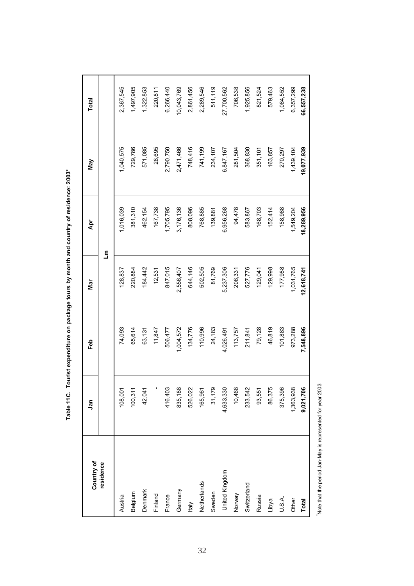| Country of     | ឹ         | م<br>س    | Mar        | Āpr        | Nay        | Total      |
|----------------|-----------|-----------|------------|------------|------------|------------|
| residence      |           |           |            | £          |            |            |
| Austria        | 108,001   | 74,093    | 128,837    | 1,016,039  | 1,040,575  | 2,367,545  |
| Belgium        | 100,311   | 65,614    | 220,884    | 381,310    | 729,786    | 1,497,905  |
| Denmark        | 42,041    | 63,131    | 184,442    | 462,154    | 571,085    | 1,322,853  |
| Finland        |           | 11,847    | 12,531     | 167,738    | 28,695     | 220,811    |
| France         | 416,403   | 506,477   | 847,015    | 1,705,795  | 2,790,750  | 6,266,440  |
| Germany        | 835,188   | 1,004,572 | 2,556,407  | 3,176,136  | 2,471,466  | 10,043,769 |
| <b>Italy</b>   | 526,022   | 134,776   | 644,146    | 808,096    | 748,416    | 2,861,456  |
| Netherlands    | 165,961   | 110,996   | 502,505    | 768,885    | 741,199    | 2,289,546  |
| Sweden         | 31,179    | 24,183    | 81,769     | 139,881    | 234,107    | 511,119    |
| United Kingdom | 4,633,330 | 4,026,491 | 5,237,306  | 6,956,268  | 6,847,167  | 27,700,562 |
| Norway         | 10,468    | 113,757   | 206,331    | 94,478     | 281,504    | 706,538    |
| Switzerland    | 233,542   | 211,841   | 527,776    | 583,867    | 368,830    | 1,925,856  |
| Russia         | 93,551    | 79,128    | 129,041    | 168,703    | 351,101    | 821,524    |
| Libya          | 86,375    | 46,819    | 129,998    | 152,414    | 163,857    | 579,463    |
| U.S.A.         | 375,396   | 101,883   | 177,988    | 158,988    | 270,297    | 1,084,552  |
| Other          | 1,363,938 | 973,288   | 1,031,765  | 1,549,204  | 1,439,104  | 6,357,299  |
| Total          | 9,021,706 | 7,548,896 | 12,618,741 | 18,289,956 | 19,077,939 | 66,557,238 |

Table 11C. Tourist expenditure on package tours by month and country of residence: 2003\* **Table 11C. Tourist expenditure on package tours by month and country of residence: 2003\***

Note that the period Jan-May is represented for year 2003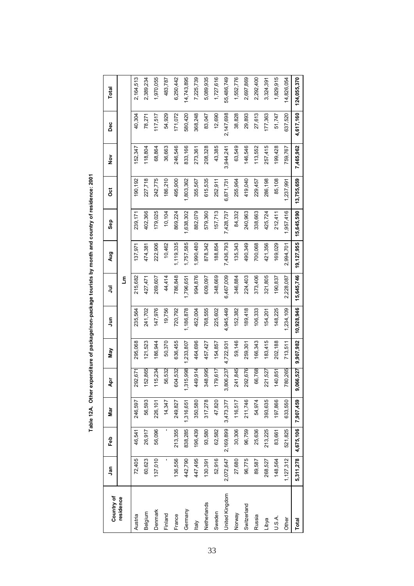| Country of     | <u>ក្នុ</u> | Feb       | nar<br>⊠  | ۵p           | Νay       | $\tilde{z}$ | ξ          | Aug          | Sep        | ö          | $\frac{5}{2}$ | pe<br>De  | Total       |
|----------------|-------------|-----------|-----------|--------------|-----------|-------------|------------|--------------|------------|------------|---------------|-----------|-------------|
| residence      |             |           |           |              |           |             | Ε          |              |            |            |               |           |             |
| Austria        | 72,405      | 46,541    | 246,597   | 292,671      | 295,068   | 235,564     | 215,682    | 137,971      | 239,171    | 190,192    | 52,347        | 40,304    | 2,164,513   |
| Belgium        | 60,623      | 26,917    | 56,593    | 52,865       | 121,523   | 241,702     | 427,471    | 474,381      | 402,366    | 227,718    | 118,804       | 78,271    | 2,389,234   |
| Denmark        | 137,010     | 56,096    | 226,101   | 115,234      | 186,944   | 147,976     | 269,607    | 222,906      | 179,025    | 242,775    | 68,864        | 117,517   | 1,970,055   |
| Finland        |             | ı         | 14,347    | 56,532       | 50,370    | 19,756      | 44,414     | 10,462       | 10,104     | 186,210    | 36,663        | 54,929    | 483,787     |
| France         | 136,556     | 213,355   | 249,827   | 604,532      | 636,455   | 720,792     | 786,848    | 1,119,335    | 869,224    | 495,900    | 246,546       | 171,072   | 6,250,442   |
| Germany        | 442,790     | 838,285   | 1,316,651 | 1,315,998    | 1,233,807 | 1,186,878   | 1,796,651  | 1,757,585    | 1,638,302  | ,803,362   | 833,166       | 580,420   | 14,743,895  |
| ltaly          | 447,495     | 196,439   | 350,580   | 449,914      | 464,696   | 452,004     | 994,876    | 1,990,480    | 882,079    | 355,567    | 273,361       | 368,248   | 7,225,739   |
| Netherlands    | 130,391     | 93,580    | 317,278   | 348,995      | 457,427   | 768,555     | 609,097    | 878,342      | 579,360    | 615,535    | 208,328       | 83,047    | 5,089,935   |
| Sweden         | 52,916      | 62,582    | 47,820    | 179,617      | 154,857   | 225,602     | 348,669    | 188,854      | 157,713    | 252,911    | 43,385        | 12,690    | 1,727,616   |
| United Kingdom | 2,072,647   | 2,169,899 | 3,473,377 | 3,806,237    | 4,722,931 | 4,945,449   | 6,467,009  | 7,436,793    | 7,428,737  | 6,871,731  | 3,944,241     | 2,147,698 | 55,486,749  |
| Norway         | 27,680      | 30,306    | 116,517   | 241,845      | 59,146    | 152,382     | 346,884    | 135,343      | 84,332     | 255,964    | 63,549        | 38,828    | 1,552,776   |
| Switzerland    | 96,775      | 96,759    | 211,746   | 292,676      | 259,301   | 189,418     | 224,403    | 490,349      | 240,963    | 419,040    | 146,546       | 29,893    | 2,697,869   |
| Russia         | 89,587      | 25,636    | 54,974    | 66,768       | 66,343    | 106,333     | 373,406    | 700,068      | 338,663    | 229,457    | 113,552       | 27,613    | 2,292,400   |
| Libya          | 268,527     | 213,225   | 393,635   | 221,527      | 83,415    | 54,201      | 321,805    | 421,356      | 425,724    | 286,198    | 257,415       | 177,363   | 3,324,391   |
| U.S.A.         | 148,564     | 83,661    | 197,866   | 40,851       | 202,188   | 148,225     | 190,837    | 169,029      | 212,411    | 85,108     | 199,428       | 51,747    | 1,829,915   |
| Other          | 1,127,312   | 521,825   | 633,550   | 780,265      | 713,511   | 1,234,109   | 2,228,087  | 2,994,701    | 1,957,416  | 1,237,991  | 759,767       | 637,520   | 14,826,054  |
| Total          | 5,311,278   | 4,675,106 | 7,907,459 | 066,527<br>శ | 9,907,982 | 10,928,946  | 15,645,746 | 19, 127, 955 | 15,645,590 | 13,755,659 | 7,465,962     | 4,617,160 | 124,055,370 |

Table 12A. Other expenditure of package/non-package tourists by month and country of residence: 2001 **Table 12A. Other expenditure of package/non-package tourists by month and country of residence: 2001**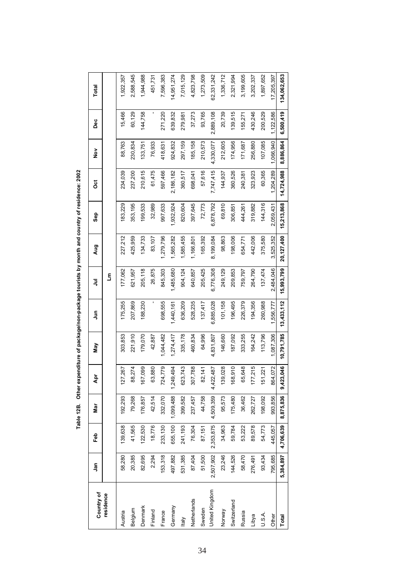| Country of     | Jan       | Feb       | Nar       | Ąpr       | Νay        | $\tilde{z}$ | ミ          | <b>Aug</b> | Sep        | ğ          | $\frac{5}{2}$ | Dec       | Total       |
|----------------|-----------|-----------|-----------|-----------|------------|-------------|------------|------------|------------|------------|---------------|-----------|-------------|
| residence      |           |           |           |           |            |             | ξ          |            |            |            |               |           |             |
| Austria        | 58,280    | 139,638   | 192,293   | 27,267    | 303,853    | 175,255     | 177,062    | 227,212    | 183,229    | 234,039    | 88,763        | 15,466    | 1,922,357   |
| Belgium        | 20,385    | 41,565    | 79,268    | 88,274    | 221,910    | 207,869     | 621,957    | 425,959    | 353,195    | 237,200    | 230,834       | 60,129    | 2,588,545   |
| Denmark        | 82,695    | 122,530   | 176,857   | 67,099    | 179,070    | 188,230     | 205,118    | 134,733    | 199,533    | 210,615    | 133,751       | 144,758   | 1,944,988   |
| Finland        | 2,294     | 18,776    | 42,514    | 63,880    | 42,887     |             | 26,875     | 83,107     | 32,989     | 61,475     | 76,933        |           | 451,731     |
| France         | 153,318   | 233,130   | 332,070   | 724,779   | 1,044,482  | 698,555     | 845,303    | 1,279,796  | 997,633    | 597,466    | 418,631       | 271,220   | 7,596,383   |
| Germany        | 497,882   | 655,100   | 1,099,488 | 1,249,494 | 1,274,417  | 1,440,161   | 1,485,680  | 1,565,282  | 1,932,924  | 2,186,182  | 924,832       | 639,832   | 14,951,274  |
| <b>Italy</b>   | 531,385   | 241,193   | 399,582   | 623,743   | 335,178    | 636,209     | 904,124    | 1,585,455  | 820,604    | 360,517    | 297,159       | 279,981   | 7,015,129   |
| Netherlands    | 87,404    | 76,304    | 237,457   | 307,788   | 460,834    | 528,235     | 640,857    | 1,166,801  | 397,645    | 698,041    | 185,158       | 37,273    | 4,823,798   |
| Sweden         | 51,500    | 87,151    | 44,758    | 82,141    | 64,996     | 137,417     | 205,425    | 165,392    | 72,773     | 57,616     | 210,573       | 93,765    | 1,273,509   |
| United Kingdom | 2,507,902 | 2,353,875 | 4,509,359 | 4,422,487 | 4,831,807  | 6,885,028   | 6,776,308  | 8,199,084  | 6,878,792  | 7,747,415  | 4,330,077     | 2,889,108 | 62,331,242  |
| Norway         | 23,246    | 34,963    | 95,573    | 139,028   | 146,660    | 101,158     | 249,129    | 98,863     | 69,810     | 144,937    | 212,605       | 20,739    | 1,336,712   |
| Switzerland    | 144,526   | 59,784    | 175,480   | 68,910    | 187,092    | 196,495     | 209,853    | 198,006    | 306,851    | 360,526    | 174,956       | 139,515   | 2,321,994   |
| Russia         | 58,470    | 53,222    | 36,462    | 65,648    | 333,255    | 226,379     | 759,797    | 654,771    | 444,261    | 240,381    | 171,687       | 155,271   | 3,199,605   |
| Libya          | 276,491   | 89,578    | 262,727   | 77,215    | 164,242    | 194,356     | 264,790    | 442,006    | 319,882    | 323,923    | 256,880       | 430,246   | 3,202,337   |
| U.S.A.         | 93,434    | 54,773    | 198,092   | 51,221    | 113,796    | 260,988     | 137,474    | 375,580    | 144,316    | 60,365     | 107,085       | 200,529   | 1,897,652   |
| Other          | 795,685   | 445,057   | 993,856   | 864,072   | 1,087,306  | 1,556,777   | 2.484.046  | 3,525,352  | 2.059.431  | 1,204,289  | 1,066,940     | 1,122,586 | 17,205,397  |
| Total          | 5,384,897 | 4,706,639 | 8,875,836 | 9,423,046 | 10,791,785 | 13,433,112  | 15,993,799 | 20,127,400 | 15,213,868 | 14,724,988 | 8,886,864     | 6,500,419 | 134,062,653 |

Table 12B. Other expenditure of package/non-package tourists by month and country of residence: 2002 **Table 12B. Other expenditure of package/non-package tourists by month and country of residence: 2002**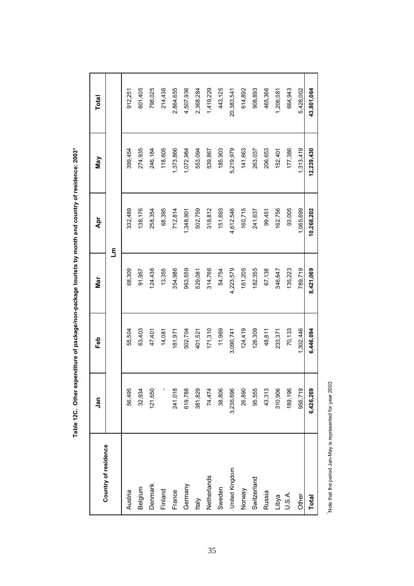|                      | Jan       | Feb       | Nar       | Åpr        | Nay        | Total      |
|----------------------|-----------|-----------|-----------|------------|------------|------------|
| Country of residence |           |           |           | ع<br>آ     |            |            |
| Austria              | 56,495    | 55,504    | 68,309    | 332,489    | 399,454    | 912,251    |
| Belgium              | 32,934    | 63,403    | 91,957    | 138,176    | 274,935    | 601,405    |
| Denmark              | 121,650   | 47,401    | 124,436   | 258,354    | 246,184    | 798,025    |
| Finland              |           | 14,081    | 13,355    | 68,395     | 118,605    | 214,436    |
| France               | 241,018   | 181,971   | 354,986   | 712,814    | 1,373,866  | 2,864,655  |
| Germany              | 619,788   | 502,704   | 963,559   | 1,348,901  | 1,072,984  | 4,507,936  |
| Italy                | 381,829   | 401,521   | 529,081   | 502,759    | 553,094    | 2,368,284  |
| Netherlands          | 74,474    | 171,310   | 314,766   | 318,812    | 539,867    | 1,419,229  |
| Sweden               | 38,806    | 11,969    | 54,754    | 151,693    | 185,903    | 443,125    |
| United Kingdom       | 3,236,696 | 3,090,741 | 4,223,579 | 4,612,546  | 5,219,979  | 20,383,541 |
| Norway               | 26,890    | 124,419   | 161,205   | 160,715    | 141,663    | 614,892    |
| Switzerland          | 95,555    | 126,309   | 182,355   | 241,637    | 263,037    | 908,893    |
| Russia               | 43,313    | 48,811    | 67,138    | 99,451     | 206,653    | 465,366    |
| Libya                | 310,906   | 233,371   | 346,647   | 162,756    | 152,401    | 1,206,081  |
| U.S.A.               | 189,196   | 70,133    | 135,223   | 93,005     | 177,386    | 664,943    |
| Other                | 956,719   | 1,302,446 | 789,719   | 1,065,699  | 1,313,419  | 5,428,002  |
| <b>Total</b>         | 6,426,269 | 6,446,094 | 8,421,069 | 10,268,202 | 12,239,430 | 43,801,064 |

Table 12C. Other expenditure of package/non-package tourists by month and country of residence: 2003\* **Table 12C. Other expenditure of package/non-package tourists by month and country of residence: 2003\***

Note that the period Jan-May is represented for year 2003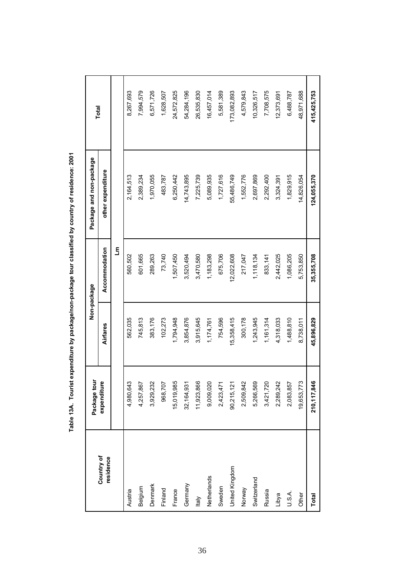|                         | Package tour    |            | Non-package   | Package and non-package | Total       |
|-------------------------|-----------------|------------|---------------|-------------------------|-------------|
| Country of<br>residence | Ø<br>expenditur | Airfares   | Accommodation | other expenditure       |             |
|                         |                 |            | ع<br>ح        |                         |             |
| Austria                 | ო<br>4,980,64   | 562,035    | 560,502       | 2,164,513               | 8,267,693   |
| Belgium                 | Ņ<br>4,257,86   | 745,813    | 601,665       | 2,389,234               | 7,994,579   |
| Denmark                 | N<br>3,929,23   | 383,176    | 289,263       | 1,970,055               | 6,571,726   |
| Finland                 | ∼<br>968,70     | 102,273    | 73,740        | 483,787                 | 1,628,507   |
| France                  | 15,019,985      | 1,794,948  | 1,507,450     | 6,250,442               | 24,572,825  |
| Germany                 | 32, 164, 93     | 3,854,876  | 3,520,494     | 14,743,895              | 54,284,196  |
| <b>Italy</b>            | ڡۣ<br>11,923,86 | 3,915,645  | 3,470,580     | 7,225,739               | 26,535,830  |
| Netherlands             | 9,009,020       | 1,174,761  | 1,183,298     | 5,089,935               | 16,457,014  |
| Sweden                  | 2,423,471       | 754,596    | 675,706       | 1,727,616               | 5,581,389   |
| United Kingdom          | 90,215,121      | 15,358,415 | 12,022,608    | 55,486,749              | 173,082,893 |
| Norway                  | 2,509,842       | 300,178    | 217,047       | 1,552,776               | 4,579,843   |
| Switzerland             | 5,266,569       | 1,243,945  | 1,118,134     | 2,697,869               | 10,326,517  |
| Russia                  | 3,421,720       | 1,161,314  | 833, 141      | 2,292,400               | 7,708,575   |
| Libya                   | 2,289,242       | 4,318,033  | 2,442,025     | 3,324,391               | 12,373,691  |
| U.S.A.                  | 2,083,857       | 1,488,810  | 1,086,205     | 1,829,915               | 6,488,787   |
| Other                   | دى<br>19,653,77 | 8,738,011  | 5,753,850     | 14,826,054              | 48,971,688  |
| Total                   | 210,117,846     | 45,896,829 | 35,355,708    | 124,055,370             | 415,425,753 |

Table 13A. Tourist expenditure by package/non-package tour classified by country of residence: 2001 **Table 13A. Tourist expenditure by package/non-package tour classified by country of residence: 2001**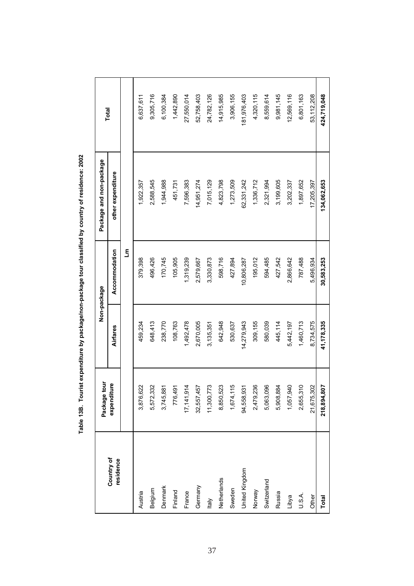|                         | Package tour     |            | Non-package   | Package and non-package |             |
|-------------------------|------------------|------------|---------------|-------------------------|-------------|
| Country of<br>residence | စ္<br>expenditur | Airfares   | Accommodation | other expenditure       | Total       |
|                         |                  |            | £             |                         |             |
| Austria                 | 3,876,622        | 459,234    | 379,398       | 1,922,357               | 6,637,611   |
| Belgium                 | 5,572,332        | 648,413    | 496,426       | 2,588,545               | 9,305,716   |
| Denmark                 | 3,745,881        | 238,770    | 170,745       | 1,944,988               | 6,100,384   |
| Finland                 | 776,491          | 108,763    | 105,905       | 451,731                 | 1,442,890   |
| France                  | 17, 141, 914     | 1,492,478  | 1,319,239     | 7,596,383               | 27,550,014  |
| Germany                 | 32,557,457       | 2,670,005  | 2,579,667     | 14,951,274              | 52,758,403  |
| Italy                   | 11,300,773       | 3,135,351  | 3,330,873     | 7,015,129               | 24,782,126  |
| Netherlands             | 8,850,523        | 642,948    | 598,716       | 4,823,798               | 14,915,985  |
| Sweden                  | 1,674,115        | 530,637    | 427,894       | 1,273,509               | 3,906,155   |
| United Kingdom          | 94,558,931       | 14,279,943 | 10,806,287    | 62,331,242              | 181,976,403 |
| Norway                  | 2,479,236        | 309,155    | 195,012       | 1,336,712               | 4,320,115   |
| Switzerland             | 5,063,096        | 580,039    | 594,485       | 2,321,994               | 8,559,614   |
| Russia                  | 5,908,884        | 445,114    | 427,542       | 3,199,605               | 9,981,145   |
| Libya                   | 1,057,940        | 5,442,197  | 2,866,642     | 3,202,337               | 12,569,116  |
| U.S.A.                  | 2,655,310        | 1,460,713  | 787,488       | 1,897,652               | 6,801,163   |
| Other                   | 21,675,302       | 8,734,575  | 5,496,934     | 17,205,397              | 53,112,208  |
| Total                   | 218,894,807      | 41,178,335 | 30,583,253    | 134,062,653             | 424,719,048 |

Table 13B. Tourist expenditure by package/non-package tour classified by country of residence: 2002 **Table 13B. Tourist expenditure by package/non-package tour classified by country of residence: 2002**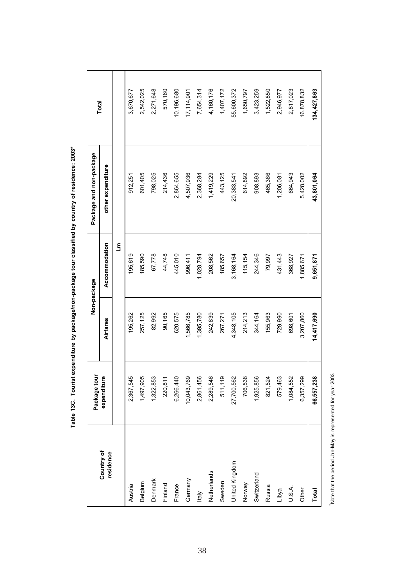|                         | Package tour               |            | Non-package   | Package and non-package | Total       |
|-------------------------|----------------------------|------------|---------------|-------------------------|-------------|
| Country of<br>residence | به<br>expenditur           | Airfares   | Accommodation | other expenditure       |             |
|                         |                            |            | ع<br>آ        |                         |             |
| Austria                 | ю<br>2,367,54              | 195,262    | 195,619       | 912,251                 | 3,670,677   |
| Belgium                 | 1,497,905                  | 257,125    | 185,590       | 601,405                 | 2,542,025   |
| Denmark                 | 1,322,853                  | 82,992     | 67,778        | 798,025                 | 2,271,648   |
| Finland                 | 220,811                    | 90,165     | 44,748        | 214,436                 | 570,160     |
| France                  | 6,266,440                  | 620,575    | 445,010       | 2,864,655               | 10,196,680  |
| Germany                 | 10,043,769                 | 1,566,785  | 996,411       | 4,507,936               | 17,114,901  |
| <b>Italy</b>            | 2,861,456                  | 1,395,780  | 1,028,794     | 2,368,284               | 7,654,314   |
| Netherlands             | $\overline{6}$<br>2,289,54 | 242,839    | 208,562       | 1,419,229               | 4,160,176   |
| Sweden                  | თ<br>511, 11               | 267,271    | 185,657       | 443,125                 | 1,407,172   |
| United Kingdom          | 27,700,562                 | 4,348,105  | 3,168,164     | 20,383,541              | 55,600,372  |
| Norway                  | 706,538                    | 214,213    | 115,154       | 614,892                 | 1,650,797   |
| Switzerland             | 1,925,856                  | 344,164    | 244,346       | 908,893                 | 3,423,259   |
| Russia                  | 821,524                    | 155,963    | 79,997        | 465,366                 | 1,522,850   |
| Libya                   | 579,463                    | 729,990    | 431,443       | 1,206,081               | 2,946,977   |
| U.S.A.                  | 1,084,552                  | 698,601    | 368,927       | 664,943                 | 2,817,023   |
| Other                   | 6,357,299                  | 3,207,860  | 1,885,671     | 5,428,002               | 16,878,832  |
| Total                   | 66,557,238                 | 14,417,690 | 9,651,871     | 43,801,064              | 134,427,863 |

Table 13C. Tourist expenditure by package/non-package tour classified by country of residence: 2003\* **Table 13C. Tourist expenditure by package/non-package tour classified by country of residence: 2003\***

Note that the period Jan-May is represented for year 2003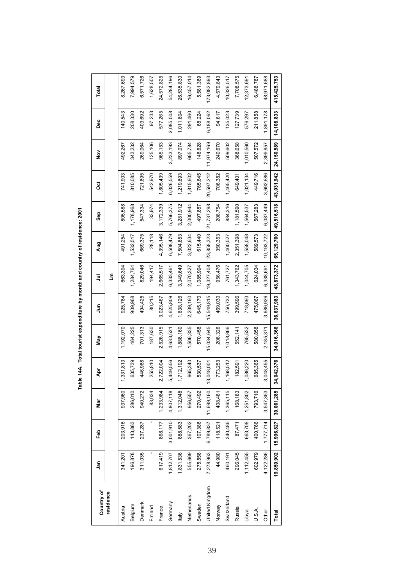| Country of     | ្លឹ        | Feb        | Nar        | Ā          | Μaγ        | ءِ<br>ح    | $\overline{5}$ | <b>Aug</b>   | Sep        | ö          | $\frac{5}{2}$ | Dec        | Total       |
|----------------|------------|------------|------------|------------|------------|------------|----------------|--------------|------------|------------|---------------|------------|-------------|
| residence      |            |            |            |            |            |            | Ę              |              |            |            |               |            |             |
| Austria        | 341,201    | 203,916    | 937,960    | 1,331,813  | 1,192,070  | 925,784    | 663,394        | 491,254      | 805,588    | 741,903    | 492,267       | 140,543    | 8,267,693   |
| Belgium        | 196,878    | 143,863    | 286,010    | 635,739    | 464,225    | 909,968    | 1,284,764      | ,532,517     | 1,178,968  | 810,085    | 343,232       | 208,330    | 7,994,579   |
| Denmark        | 311,035    | 237,287    | 940,272    | 446,988    | 701,313    | 494,425    | 829,046        | 669,375      | 547,334    | 721,895    | 269,064       | 403,692    | 6,571,726   |
| Finland        |            |            | 83,034     | 255,810    | 187,630    | 80,215     | 94,417         | 28,118       | 33,974     | 542,970    | 125,106       | 97,233     | 1,628,507   |
| France         | 617,419    | 868,177    | 1,233,984  | 2,722,004  | 2,526,915  | 3,023,467  | 2,665,517      | 4,395,146    | 3,172,339  | ,805,439   | 965,153       | 577,265    | 24,572,825  |
| Germany        | 1,812,707  | 3,001,910  | 4,807,118  | 5,449,556  | 4,633,521  | 4,625,809  | 6,333,461      | 6,508,479    | 5,766,375  | 6,026,559  | 3,233,193     | 2,085,508  | 54,284,196  |
| ltaly          | 1,831,536  | 888,583    | 1,312,048  | 1,712,192  | ,888,160   | 1,638,126  | 3,349,649      | 7,504,853    | 3,281,912  | 1,219,893  | 897,074       | 1,011,804  | 26,535,830  |
| Netherlands    | 555,669    | 367,202    | 956,557    | 965,340    | 1,506,335  | 2,239,160  | 2,070,327      | 3,022,634    | 2,000,944  | 1,815,602  | 665,784       | 291,460    | 16,457,014  |
| Sweden         | 275,558    | 107,386    | 270,492    | 530,537    | 570,458    | 645,170    | 1,085,994      | 615,440      | 497,857    | 765,645    | 148,628       | 68,224     | 5,581,389   |
| United Kingdom | 7,278,963  | 6,789,837  | 11,699,160 | 13,048,001 | 15,034,645 | 15,549,815 | 19,327,408     | 23,858,323   | 21,737,298 | 20,597,212 | 11,974,169    | 6,188,062  | 73,082,893  |
| Norway         | 44,980     | 118,521    | 408,481    | 773,253    | 208,326    | 469,030    | 956,476        | 350,353      | 208,754    | 706,382    | 240,670       | 94,617     | 4,579,843   |
| Switzerland    | 460,191    | 340,486    | 1,365,115  | 1,168,512  | ,018,866   | 756,732    | 761,727        | 1,460,527    | 884,316    | 1,465,420  | 509,602       | 135,023    | 10,326,517  |
| Russia         | 296,045    | 87,471     | 168,183    | 182,591    | 552,141    | 399,596    | 1,343,762      | 2,351,398    | 1,181,590  | 649,401    | 368,658       | 127,739    | 7,708,575   |
| Libya          | 1,112,455  | 663,708    | 1,251,802  | ,086,220   | 765,532    | 718,693    | 1,044,705      | 1,558,048    | ,564,537   | 1,021,134  | 1,010,560     | 576,297    | 12,373,691  |
| U.S.A.         | 602,979    | 400,766    | 793,716    | 685,365    | 580,858    | 475,067    | 624,034        | 589,573      | 567,283    | 449,716    | 507,572       | 211,858    | 6,488,787   |
| Other          | 4,122,286  | 1,777,714  | 3,547,353  | 3,048,455  | 2,185,371  | 3,686,926  | 6,338,691      | 10, 193, 722 | 6,087,449  | 3,692,686  | 2,399,857     | 1,891,178  | 48,971,688  |
| Total          | 19,859,902 | 15,996,827 | 30,061,285 | 34,042,376 | 34,016,366 | 36,637,983 | 48,873,372     | 65, 129, 760 | 49,516,518 | 43,031,942 | 24,150,589    | 14,108,833 | 415,425,753 |

Table 14A. Total tourist expenditure by month and country of residence: 2001 **Table 14A. Total tourist expenditure by month and country of residence: 2001**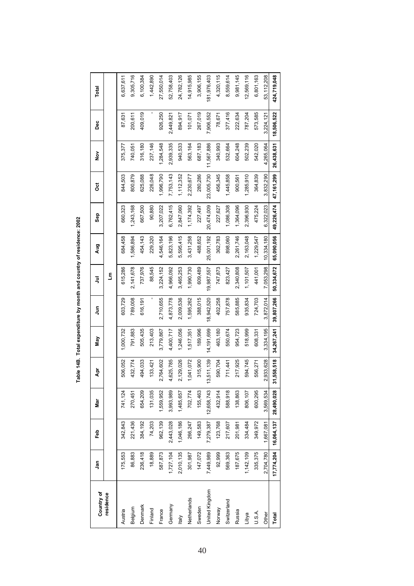| Country of     | ទី         | Feb        | Nar        | Ā          | Мay        | Ę          | ミ          | Aug        | Sep        | ö          | $\frac{5}{2}$ | Dec        | Total       |
|----------------|------------|------------|------------|------------|------------|------------|------------|------------|------------|------------|---------------|------------|-------------|
| residence      |            |            |            |            |            |            | £          |            |            |            |               |            |             |
| Austria        | 175,553    | 342,843    | 741,124    | 506,052    | 1,000,732  | 603,729    | 615,286    | 684,458    | 660,323    | 844,503    | 375,377       | 87,631     | 6,637,611   |
| Belgium        | 86,883     | 221,436    | 270,451    | 432,774    | 791,883    | 789,008    | 2,141,678  | ,586,894   | ,243,168   | 800,879    | 740,051       | 200,611    | 9,305,716   |
| Denmark        | 236,418    | 384,192    | 654,209    | 494,033    | 505,435    | 616,191    | 737,976    | 454,143    | 667,500    | 625,088    | 316,180       | 409,019    | 6,100,384   |
| Finland        | 18,889     | 74,203     | 131,035    | 133,421    | 213,403    |            | 88,545     | 229,320    | 90,880     | 226,048    | 237,146       |            | 1,442,890   |
| France         | 587,873    | 962,139    | 1,559,952  | 2,764,602  | 3,779,867  | 2,710,655  | 3,224,152  | 4,546,164  | 3,207,022  | 1,996,790  | 1,284,548     | 926,250    | 27,550,014  |
| Germany        | 1,727,104  | 2,443,028  | 3,993,989  | 4,625,785  | 4,400,717  | 4,873,778  | 4,966,092  | 5,823,196  | 6,762,415  | 7,753,143  | 2,939,335     | 2,449,82   | 52,758,403  |
| ltaly          | 2,010,135  | 1,046,186  | 1,485,657  | 2,129,026  | 1,246,056  | 2,009,536  | 3,465,253  | 5,595,415  | 2,847,060  | 1,112,352  | 940,533       | 894,917    | 24,782,126  |
| Netherlands    | 301,987    | 266,247    | 702,774    | 1,041,072  | ,517,35    | ,595,262   | 1,990,730  | 3,431,258  | 1,174,392  | 2,230,677  | 563,164       | 101,07     | 14,915,985  |
| Sweden         | 147,072    | 149,583    | 155,463    | 315,900    | 189,996    | 388,015    | 609,489    | 488,652    | 227,497    | 280,286    | 687,183       | 267,019    | 3,906,155   |
| United Kingdom | 7,449,989  | 7,279,387  | 12,658,743 | 13,511,139 | 14,191,699 | 18,942,520 | 19,987,557 | 25,001,192 | 20,474,009 | 23,005,730 | 11,567,886    | 7,906,552  | 181,976,403 |
| Norway         | 92,999     | 123,768    | 432,914    | 590,704    | 463,180    | 402,258    | 747,873    | 362,783    | 227,627    | 456,345    | 340,993       | 78,671     | 4,320,115   |
| Switzerland    | 569,363    | 217,607    | 588,918    | 711,441    | 550,674    | 757,878    | 823,427    | 898,060    | 1,086,308  | 1,445,858  | 532,664       | 377,416    | 8,559,614   |
| Russia         | 187,675    | 201,981    | 138,863    | 217,925    | 954,723    | 585,885    | 2,340,808  | 2,261,746  | 1,364,096  | 900,561    | 604,248       | 222,634    | 9,981,145   |
| Libya          | 1,142,109  | 334,484    | 806,107    | 594,745    | 518,999    | 935,834    | 1,101,507  | 2,163,048  | 2,396,930  | ,285,910   | 502,239       | 787,204    | 12,569,116  |
| U.S.A.         | 335,375    | 349,972    | 600,295    | 556,271    | 608,331    | 724,703    | 441,001    | 1,229,547  | 475,224    | 364,839    | 542,020       | 573,585    | 6,801,163   |
| Other          | 2,704,780  | 1,667,081  | 3,569,534  | 2,933,628  | 3,334,195  | 3,872,014  | 7,053,298  | 10,334,180 | 6,322,023  | 3,832,290  | 4,265,064     | 3,224,12   | 53,112,208  |
| Total          | 17,774,204 | 16,064,137 | 28,490,028 | 31,558,518 | 34,267,241 | 39,807,266 | 50,334,672 | 65,090,056 | 49,226,474 | 47,161,299 | 26,438,631    | 18,506,522 | 424,719,048 |

Table 14B. Total expenditure by month and country of residence: 2002 **Table 14B. Total expenditure by month and country of residence: 2002**